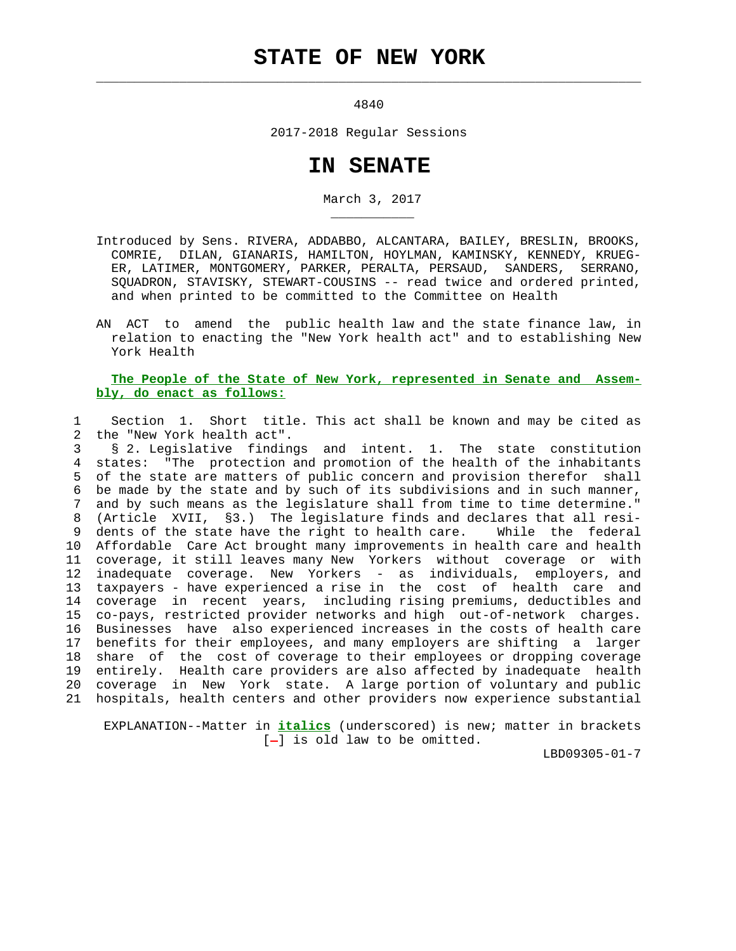## **STATE OF NEW YORK**

 $\mathcal{L}_\text{max} = \frac{1}{2} \sum_{i=1}^{n} \frac{1}{2} \sum_{i=1}^{n} \frac{1}{2} \sum_{i=1}^{n} \frac{1}{2} \sum_{i=1}^{n} \frac{1}{2} \sum_{i=1}^{n} \frac{1}{2} \sum_{i=1}^{n} \frac{1}{2} \sum_{i=1}^{n} \frac{1}{2} \sum_{i=1}^{n} \frac{1}{2} \sum_{i=1}^{n} \frac{1}{2} \sum_{i=1}^{n} \frac{1}{2} \sum_{i=1}^{n} \frac{1}{2} \sum_{i=1}^{n} \frac{1$ 

\_\_\_\_\_\_\_\_\_\_\_

4840

2017-2018 Regular Sessions

## **IN SENATE**

March 3, 2017

- Introduced by Sens. RIVERA, ADDABBO, ALCANTARA, BAILEY, BRESLIN, BROOKS, COMRIE, DILAN, GIANARIS, HAMILTON, HOYLMAN, KAMINSKY, KENNEDY, KRUEG- ER, LATIMER, MONTGOMERY, PARKER, PERALTA, PERSAUD, SANDERS, SERRANO, SQUADRON, STAVISKY, STEWART-COUSINS -- read twice and ordered printed, and when printed to be committed to the Committee on Health
- AN ACT to amend the public health law and the state finance law, in relation to enacting the "New York health act" and to establishing New York Health

## **The People of the State of New York, represented in Senate and Assem bly, do enact as follows:**

 1 Section 1. Short title. This act shall be known and may be cited as 2 the "New York health act".

 3 § 2. Legislative findings and intent. 1. The state constitution 4 states: "The protection and promotion of the health of the inhabitants 5 of the state are matters of public concern and provision therefor shall 6 be made by the state and by such of its subdivisions and in such manner, 7 and by such means as the legislature shall from time to time determine." 8 (Article XVII, §3.) The legislature finds and declares that all resi- 9 dents of the state have the right to health care. While the federal 10 Affordable Care Act brought many improvements in health care and health 11 coverage, it still leaves many New Yorkers without coverage or with 12 inadequate coverage. New Yorkers - as individuals, employers, and 13 taxpayers - have experienced a rise in the cost of health care and 14 coverage in recent years, including rising premiums, deductibles and 15 co-pays, restricted provider networks and high out-of-network charges. 16 Businesses have also experienced increases in the costs of health care 17 benefits for their employees, and many employers are shifting a larger 18 share of the cost of coverage to their employees or dropping coverage 19 entirely. Health care providers are also affected by inadequate health 20 coverage in New York state. A large portion of voluntary and public 21 hospitals, health centers and other providers now experience substantial

 EXPLANATION--Matter in **italics** (underscored) is new; matter in brackets  $[-]$  is old law to be omitted.

LBD09305-01-7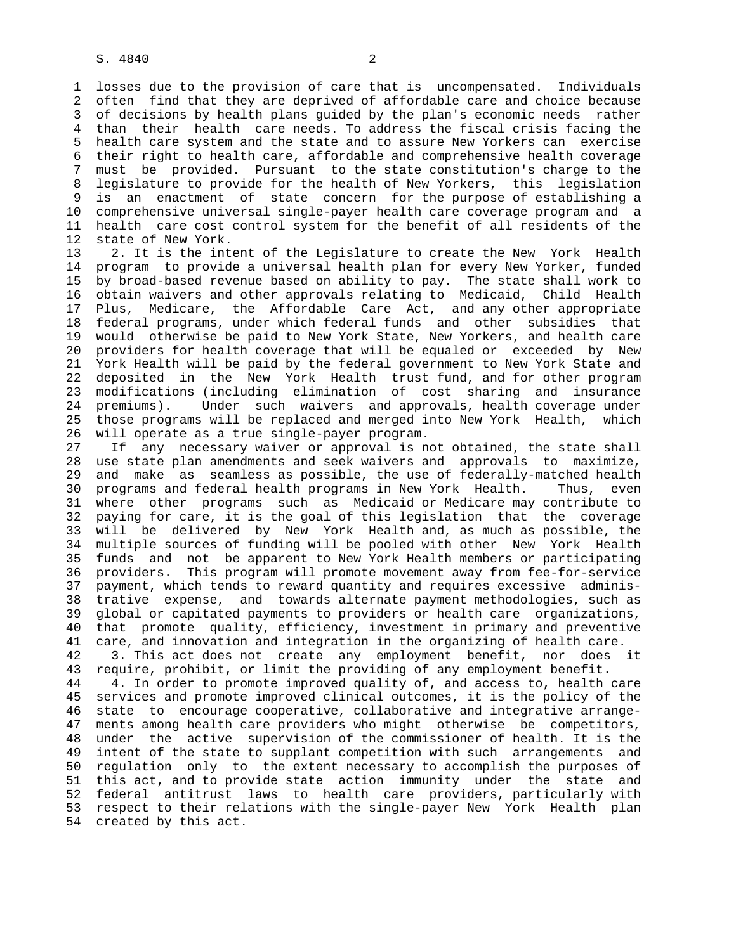1 losses due to the provision of care that is uncompensated. Individuals 2 often find that they are deprived of affordable care and choice because 3 of decisions by health plans guided by the plan's economic needs rather 4 than their health care needs. To address the fiscal crisis facing the 5 health care system and the state and to assure New Yorkers can exercise 6 their right to health care, affordable and comprehensive health coverage 7 must be provided. Pursuant to the state constitution's charge to the 8 legislature to provide for the health of New Yorkers, this legislation 9 is an enactment of state concern for the purpose of establishing a 10 comprehensive universal single-payer health care coverage program and a 11 health care cost control system for the benefit of all residents of the 12 state of New York.

 13 2. It is the intent of the Legislature to create the New York Health 14 program to provide a universal health plan for every New Yorker, funded 15 by broad-based revenue based on ability to pay. The state shall work to 16 obtain waivers and other approvals relating to Medicaid, Child Health 17 Plus, Medicare, the Affordable Care Act, and any other appropriate 18 federal programs, under which federal funds and other subsidies that 19 would otherwise be paid to New York State, New Yorkers, and health care 20 providers for health coverage that will be equaled or exceeded by New 21 York Health will be paid by the federal government to New York State and 22 deposited in the New York Health trust fund, and for other program 23 modifications (including elimination of cost sharing and insurance 24 premiums). Under such waivers and approvals, health coverage under 25 those programs will be replaced and merged into New York Health, which 26 will operate as a true single-payer program.

 27 If any necessary waiver or approval is not obtained, the state shall 28 use state plan amendments and seek waivers and approvals to maximize, 29 and make as seamless as possible, the use of federally-matched health 30 programs and federal health programs in New York Health. Thus, even 31 where other programs such as Medicaid or Medicare may contribute to 32 paying for care, it is the goal of this legislation that the coverage 33 will be delivered by New York Health and, as much as possible, the 34 multiple sources of funding will be pooled with other New York Health 35 funds and not be apparent to New York Health members or participating 36 providers. This program will promote movement away from fee-for-service 37 payment, which tends to reward quantity and requires excessive adminis- 38 trative expense, and towards alternate payment methodologies, such as 39 global or capitated payments to providers or health care organizations, 40 that promote quality, efficiency, investment in primary and preventive 41 care, and innovation and integration in the organizing of health care. 42 3. This act does not create any employment benefit, nor does it

 43 require, prohibit, or limit the providing of any employment benefit. 44 4. In order to promote improved quality of, and access to, health care 45 services and promote improved clinical outcomes, it is the policy of the 46 state to encourage cooperative, collaborative and integrative arrange- 47 ments among health care providers who might otherwise be competitors, 48 under the active supervision of the commissioner of health. It is the 49 intent of the state to supplant competition with such arrangements and 50 regulation only to the extent necessary to accomplish the purposes of 51 this act, and to provide state action immunity under the state and 52 federal antitrust laws to health care providers, particularly with 53 respect to their relations with the single-payer New York Health plan 54 created by this act.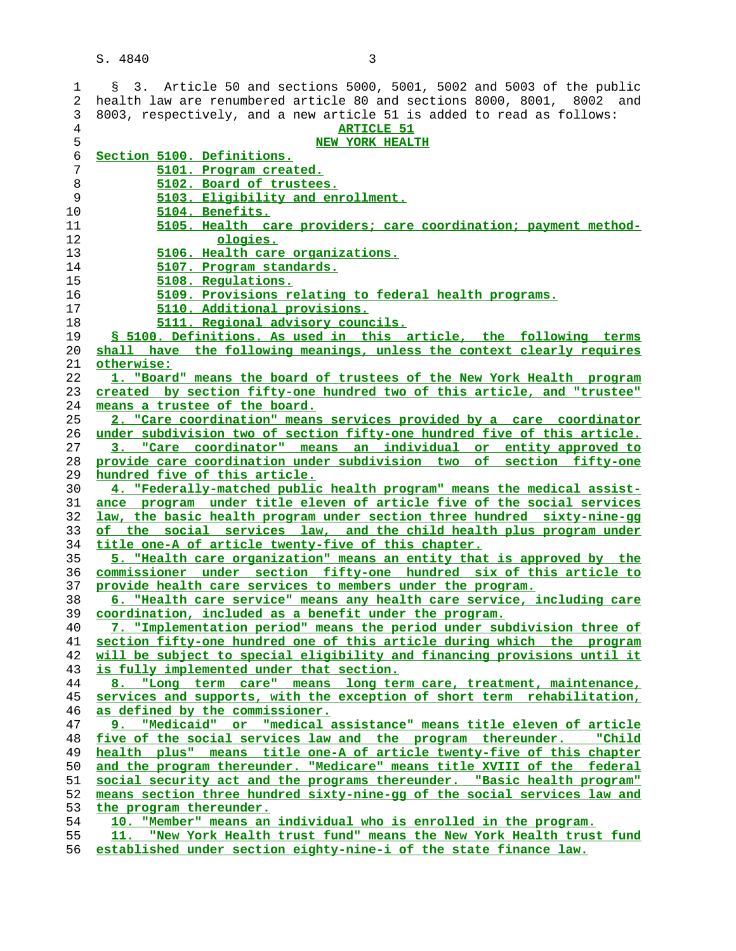| 1        | § 3. Article 50 and sections 5000, 5001, 5002 and 5003 of the public                                                                       |
|----------|--------------------------------------------------------------------------------------------------------------------------------------------|
| 2        | health law are renumbered article 80 and sections 8000, 8001, 8002 and                                                                     |
| 3        | 8003, respectively, and a new article 51 is added to read as follows:                                                                      |
| 4        | <b>ARTICLE 51</b>                                                                                                                          |
| 5        | <b>NEW YORK HEALTH</b>                                                                                                                     |
| 6        | Section 5100. Definitions.                                                                                                                 |
| 7        | 5101. Program created.                                                                                                                     |
| 8        | 5102. Board of trustees.                                                                                                                   |
|          |                                                                                                                                            |
| 9        | 5103. Eligibility and enrollment.                                                                                                          |
| 10       | 5104. Benefits.                                                                                                                            |
| 11       | 5105. Health care providers; care coordination; payment method-                                                                            |
| 12       | ologies.                                                                                                                                   |
| 13       | 5106. Health care organizations.                                                                                                           |
| 14       | 5107. Program standards.                                                                                                                   |
| 15       | 5108. Regulations.                                                                                                                         |
| 16       | 5109. Provisions relating to federal health programs.                                                                                      |
| 17       |                                                                                                                                            |
|          | 5110. Additional provisions.                                                                                                               |
| 18       | 5111. Regional advisory councils.                                                                                                          |
| 19       | § 5100. Definitions. As used in this article, the following terms                                                                          |
| 20       | shall have the following meanings, unless the context clearly requires                                                                     |
| 21       | otherwise:                                                                                                                                 |
| 22       | 1. "Board" means the board of trustees of the New York Health program                                                                      |
| 23       | created by section fifty-one hundred two of this article, and "trustee"                                                                    |
| 24       | means a trustee of the board.                                                                                                              |
| 25       | 2. "Care coordination" means services provided by a care coordinator                                                                       |
| 26       | under subdivision two of section fifty-one hundred five of this article.                                                                   |
| 27       | 3. "Care coordinator" means an individual or entity approved to                                                                            |
| 28       | provide care coordination under subdivision two of section fifty-one                                                                       |
| 29       | hundred five of this article.                                                                                                              |
| 30       | 4. "Federally-matched public health program" means the medical assist-                                                                     |
| 31       | ance program under title eleven of article five of the social services                                                                     |
| 32       | law, the basic health program under section three hundred sixty-nine-gq                                                                    |
| 33       | of the social services law, and the child health plus program under                                                                        |
| 34       |                                                                                                                                            |
|          | title one-A of article twenty-five of this chapter.                                                                                        |
| 35       | 5. "Health care organization" means an entity that is approved by the                                                                      |
| 36       | commissioner under section fifty-one hundred six of this article to                                                                        |
| 37       | provide health care services to members under the program.                                                                                 |
| 38       | 6. "Health care service" means any health care service, including care                                                                     |
| 39       | coordination, included as a benefit under the program.                                                                                     |
| 40       | 7. "Implementation period" means the period under subdivision three of                                                                     |
| 41       | section fifty-one hundred one of this article during which the program                                                                     |
| 42       | will be subject to special eligibility and financing provisions until it                                                                   |
| 43       | is fully implemented under that section.                                                                                                   |
| 44       | 8. "Long term care" means long term care, treatment, maintenance,                                                                          |
| 45       | services and supports, with the exception of short term rehabilitation,                                                                    |
| 46       | as defined by the commissioner.                                                                                                            |
| 47       | "Medicaid" or "medical assistance" means title eleven of article                                                                           |
| 48       | five of the social services law and the program thereunder. "Child                                                                         |
| 49       | health plus" means title one-A of article twenty-five of this chapter                                                                      |
| 50       | and the program thereunder. "Medicare" means title XVIII of the federal                                                                    |
| 51       | social security act and the programs thereunder. "Basic health program"                                                                    |
| 52       | means section three hundred sixty-nine-qq of the social services law and                                                                   |
|          |                                                                                                                                            |
| 53       | the program thereunder.                                                                                                                    |
| 54       |                                                                                                                                            |
|          | 10. "Member" means an individual who is enrolled in the program.                                                                           |
| 55<br>56 | 11. "New York Health trust fund" means the New York Health trust fund<br>established under section eighty-nine-i of the state finance law. |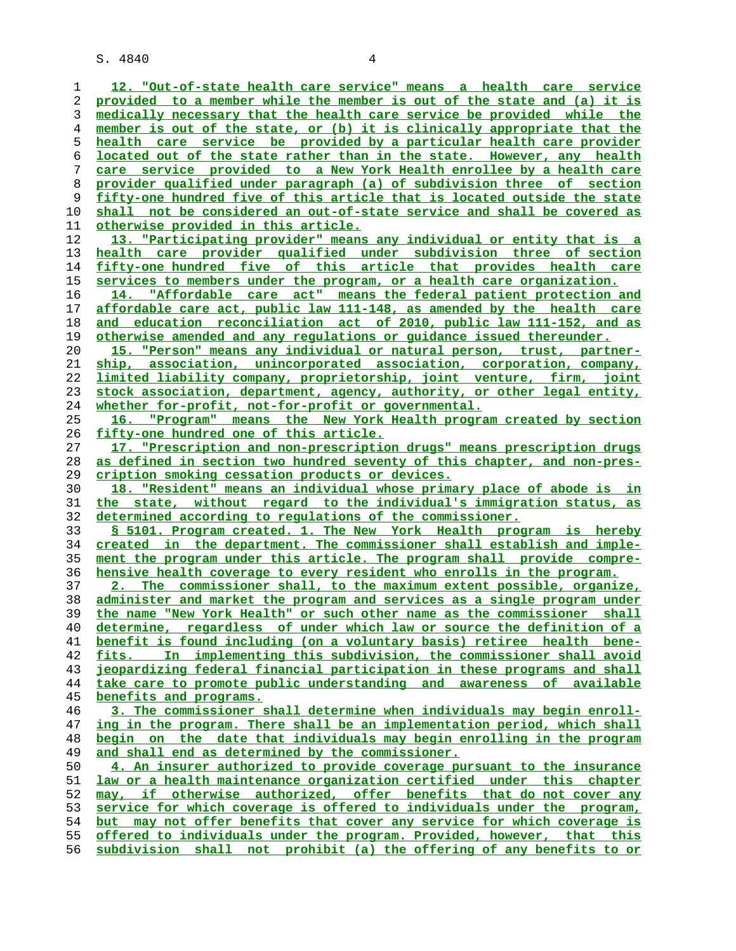**12. "Out-of-state health care service" means a health care service provided to a member while the member is out of the state and (a) it is medically necessary that the health care service be provided while the member is out of the state, or (b) it is clinically appropriate that the health care service be provided by a particular health care provider located out of the state rather than in the state. However, any health care service provided to a New York Health enrollee by a health care provider qualified under paragraph (a) of subdivision three of section fifty-one hundred five of this article that is located outside the state shall not be considered an out-of-state service and shall be covered as otherwise provided in this article. 13. "Participating provider" means any individual or entity that is a health care provider qualified under subdivision three of section fifty-one hundred five of this article that provides health care services to members under the program, or a health care organization. 14. "Affordable care act" means the federal patient protection and affordable care act, public law 111-148, as amended by the health care and education reconciliation act of 2010, public law 111-152, and as otherwise amended and any regulations or guidance issued thereunder. 15. "Person" means any individual or natural person, trust, partner- ship, association, unincorporated association, corporation, company, limited liability company, proprietorship, joint venture, firm, joint stock association, department, agency, authority, or other legal entity, whether for-profit, not-for-profit or governmental. 16. "Program" means the New York Health program created by section fifty-one hundred one of this article. 17. "Prescription and non-prescription drugs" means prescription drugs as defined in section two hundred seventy of this chapter, and non-pres- cription smoking cessation products or devices. 18. "Resident" means an individual whose primary place of abode is in the state, without regard to the individual's immigration status, as determined according to regulations of the commissioner. § 5101. Program created. 1. The New York Health program is hereby created in the department. The commissioner shall establish and imple- ment the program under this article. The program shall provide compre- hensive health coverage to every resident who enrolls in the program. 2. The commissioner shall, to the maximum extent possible, organize, administer and market the program and services as a single program under the name "New York Health" or such other name as the commissioner shall determine, regardless of under which law or source the definition of a benefit is found including (on a voluntary basis) retiree health bene- fits. In implementing this subdivision, the commissioner shall avoid jeopardizing federal financial participation in these programs and shall take care to promote public understanding and awareness of available benefits and programs. 3. The commissioner shall determine when individuals may begin enroll- ing in the program. There shall be an implementation period, which shall begin on the date that individuals may begin enrolling in the program and shall end as determined by the commissioner. 4. An insurer authorized to provide coverage pursuant to the insurance law or a health maintenance organization certified under this chapter may, if otherwise authorized, offer benefits that do not cover any service for which coverage is offered to individuals under the program,** but may not offer benefits that cover any service for which coverage is **offered to individuals under the program. Provided, however, that this subdivision shall not prohibit (a) the offering of any benefits to or**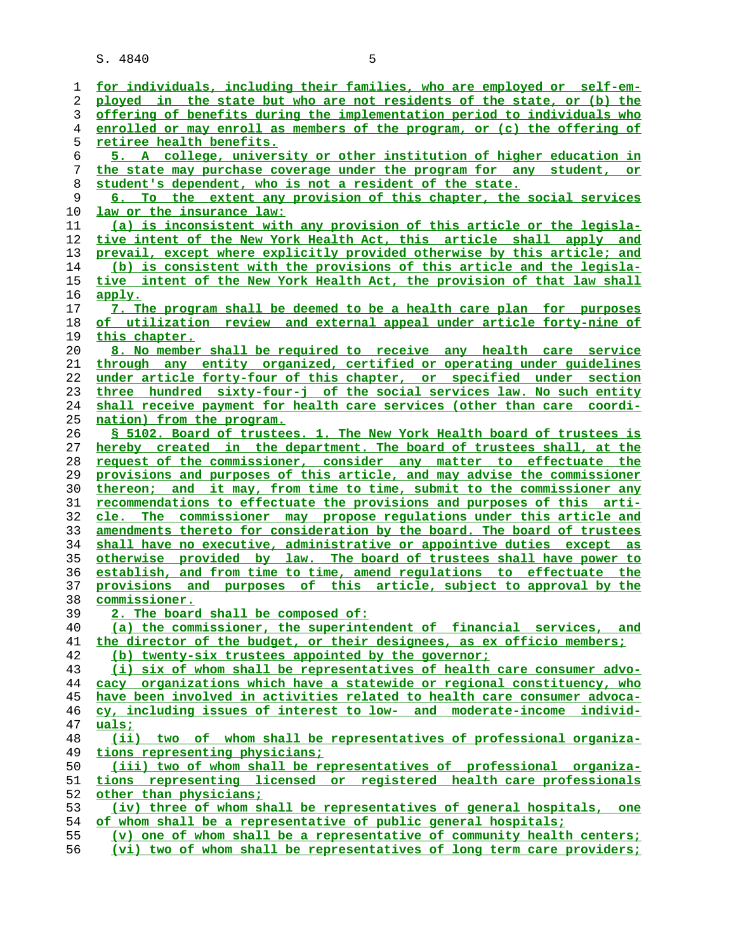| 1  | for individuals, including their families, who are employed or self-em-  |
|----|--------------------------------------------------------------------------|
| 2  | ployed in the state but who are not residents of the state, or (b) the   |
| 3  | offering of benefits during the implementation period to individuals who |
| 4  | enrolled or may enroll as members of the program, or (c) the offering of |
| 5  | retiree health benefits.                                                 |
| 6  | 5. A college, university or other institution of higher education in     |
| 7  | the state may purchase coverage under the program for any student, or    |
| 8  | student's dependent, who is not a resident of the state.                 |
| 9  | 6. To the extent any provision of this chapter, the social services      |
| 10 | law or the insurance law:                                                |
| 11 | (a) is inconsistent with any provision of this article or the legisla-   |
| 12 | tive intent of the New York Health Act, this article shall apply and     |
| 13 | prevail, except where explicitly provided otherwise by this article; and |
| 14 | (b) is consistent with the provisions of this article and the legisla-   |
| 15 | tive intent of the New York Health Act, the provision of that law shall  |
| 16 | apply.                                                                   |
| 17 |                                                                          |
|    | 7. The program shall be deemed to be a health care plan for purposes     |
| 18 | of utilization review and external appeal under article forty-nine of    |
| 19 | this chapter.                                                            |
| 20 | 8. No member shall be required to receive any health care service        |
| 21 | through any entity organized, certified or operating under quidelines    |
| 22 | under article forty-four of this chapter, or specified under section     |
| 23 | three hundred sixty-four-j of the social services law. No such entity    |
| 24 | shall receive payment for health care services (other than care coordi-  |
| 25 | nation) from the program.                                                |
| 26 | § 5102. Board of trustees. 1. The New York Health board of trustees is   |
| 27 | hereby created in the department. The board of trustees shall, at the    |
| 28 | request of the commissioner, consider any matter to effectuate the       |
| 29 | provisions and purposes of this article, and may advise the commissioner |
| 30 | thereon; and it may, from time to time, submit to the commissioner any   |
| 31 | recommendations to effectuate the provisions and purposes of this arti-  |
| 32 | cle. The commissioner may propose requlations under this article and     |
| 33 | amendments thereto for consideration by the board. The board of trustees |
| 34 | shall have no executive, administrative or appointive duties except as   |
| 35 | otherwise provided by law. The board of trustees shall have power to     |
| 36 | establish, and from time to time, amend requlations to effectuate the    |
| 37 | provisions and purposes of this article, subject to approval by the      |
| 38 | commissioner.                                                            |
| 39 | 2. The board shall be composed of:                                       |
| 40 | (a) the commissioner, the superintendent of financial services, and      |
| 41 | the director of the budget, or their designees, as ex officio members;   |
| 42 | (b) twenty-six trustees appointed by the governor;                       |
| 43 | (i) six of whom shall be representatives of health care consumer advo-   |
| 44 | cacy organizations which have a statewide or regional constituency, who  |
| 45 | have been involved in activities related to health care consumer advoca- |
| 46 | cy, including issues of interest to low- and moderate-income individ-    |
| 47 | uals;                                                                    |
| 48 | (ii) two of whom shall be representatives of professional organiza-      |
| 49 | <u>tions representing physicians;</u>                                    |
| 50 | (iii) two of whom shall be representatives of professional organiza-     |
| 51 | tions representing licensed or registered health care professionals      |
| 52 | other than physicians;                                                   |
| 53 | (iv) three of whom shall be representatives of general hospitals, one    |
| 54 | of whom shall be a representative of public general hospitals;           |
| 55 | (v) one of whom shall be a representative of community health centers;   |
| 56 | (vi) two of whom shall be representatives of long term care providers;   |
|    |                                                                          |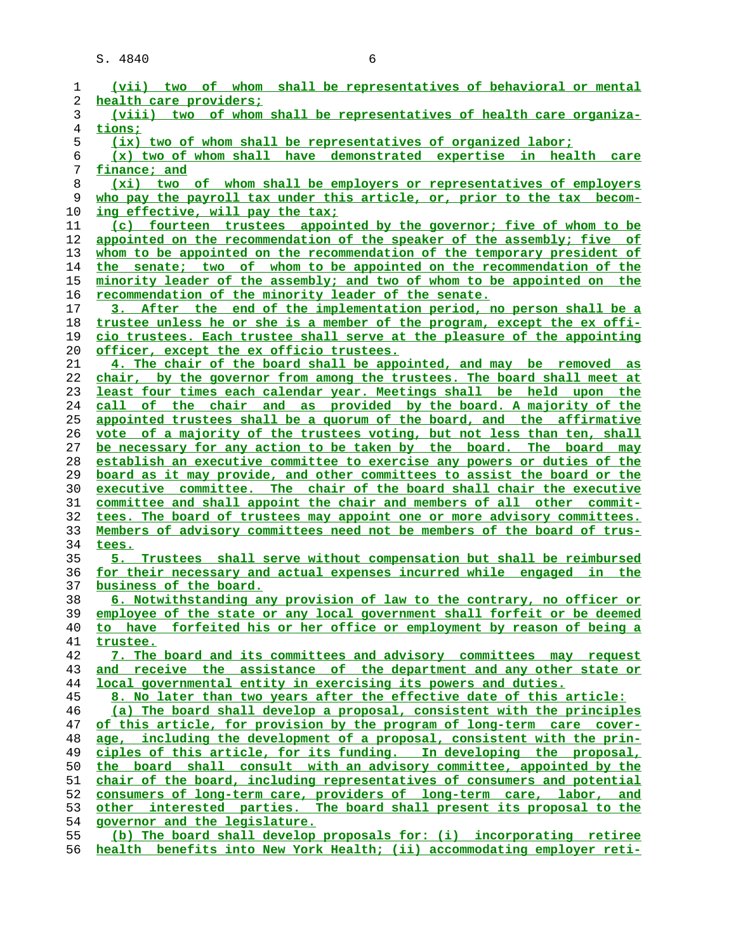| (vii) two of whom shall be representatives of behavioral or mental                                    |
|-------------------------------------------------------------------------------------------------------|
| health care providers;                                                                                |
| (viii) two of whom shall be representatives of health care organiza-                                  |
| tions;                                                                                                |
| (ix) two of whom shall be representatives of organized labor;                                         |
| (x) two of whom shall have demonstrated expertise in health care                                      |
| finance; and                                                                                          |
| (xi) two of whom shall be employers or representatives of employers                                   |
| who pay the payroll tax under this article, or, prior to the tax becom-                               |
| ing effective, will pay the tax;                                                                      |
| (c) fourteen trustees appointed by the governor; five of whom to be                                   |
| appointed on the recommendation of the speaker of the assembly; five of                               |
| whom to be appointed on the recommendation of the temporary president of                              |
| the senate; two of whom to be appointed on the recommendation of the                                  |
| minority leader of the assembly; and two of whom to be appointed on the                               |
| recommendation of the minority leader of the senate.                                                  |
| 3. After the end of the implementation period, no person shall be a                                   |
| trustee unless he or she is a member of the program, except the ex offi-                              |
| cio trustees. Each trustee shall serve at the pleasure of the appointing                              |
| officer, except the ex officio trustees.                                                              |
| 4. The chair of the board shall be appointed, and may be removed as                                   |
| chair, by the governor from among the trustees. The board shall meet at                               |
| least four times each calendar year. Meetings shall be held upon the                                  |
| call of the chair and as provided by the board. A majority of the                                     |
| appointed trustees shall be a quorum of the board, and the affirmative                                |
| vote of a majority of the trustees voting, but not less than ten, shall                               |
| be necessary for any action to be taken by the board. The board may                                   |
| establish an executive committee to exercise any powers or duties of the                              |
| board as it may provide, and other committees to assist the board or the                              |
| executive committee. The chair of the board shall chair the executive                                 |
| committee and shall appoint the chair and members of all other commit-                                |
| tees. The board of trustees may appoint one or more advisory committees.                              |
| Members of advisory committees need not be members of the board of trus-                              |
| tees.                                                                                                 |
| 5. Trustees shall serve without compensation but shall be reimbursed                                  |
| for their necessary and actual expenses incurred while engaged in the                                 |
| business of the board.                                                                                |
| 6. Notwithstanding any provision of law to the contrary, no officer or                                |
| employee of the state or any local government shall forfeit or be deemed                              |
| to have forfeited his or her office or employment by reason of being a                                |
| trustee.<br>7. The board and its committees and advisory committees may request                       |
| and receive the assistance of the department and any other state or                                   |
| <u>local governmental entity in exercising its powers and duties.</u>                                 |
| 8. No later than two years after the effective date of this article:                                  |
| (a) The board shall develop a proposal, consistent with the principles                                |
| of this article, for provision by the program of long-term care cover-                                |
| age, including the development of a proposal, consistent with the prin-                               |
| ciples of this article, for its funding. In developing the proposal,                                  |
| the board shall consult with an advisory committee, appointed by the                                  |
| chair of the board, including representatives of consumers and potential                              |
| consumers of long-term care, providers of long-term care, labor, and                                  |
|                                                                                                       |
|                                                                                                       |
| other interested parties. The board shall present its proposal to the                                 |
| governor and the legislature.<br>(b) The board shall develop proposals for: (i) incorporating retiree |
|                                                                                                       |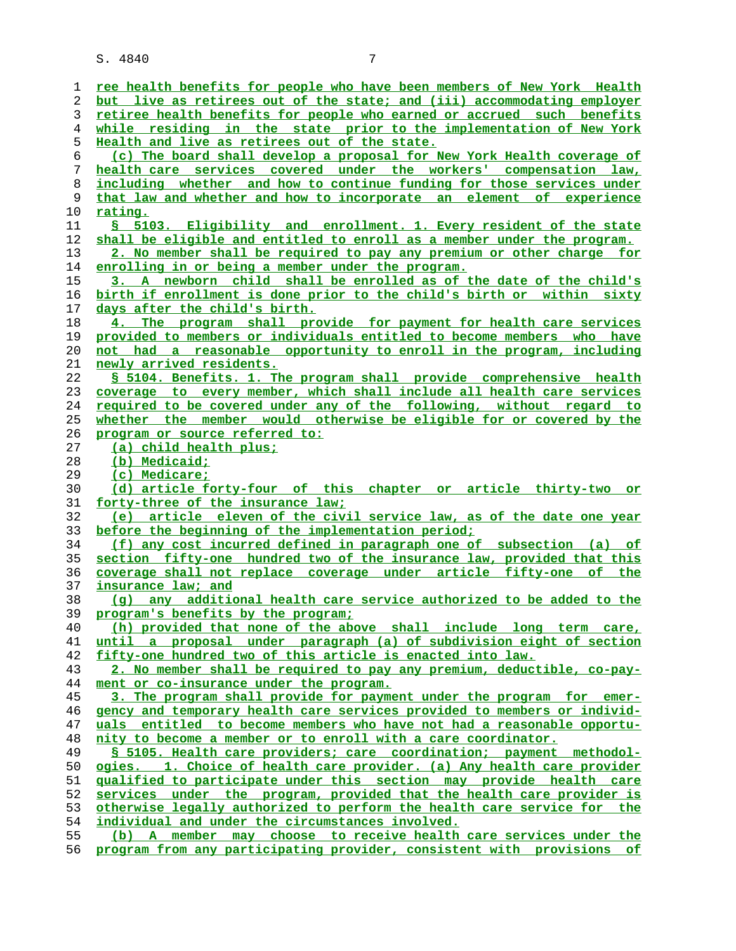| 1        | ree health benefits for people who have been members of New York Health                                                              |
|----------|--------------------------------------------------------------------------------------------------------------------------------------|
| 2        | but live as retirees out of the state; and (iii) accommodating employer                                                              |
| 3        | retiree health benefits for people who earned or accrued such benefits                                                               |
| 4        | while residing in the state prior to the implementation of New York                                                                  |
| 5        | Health and live as retirees out of the state.                                                                                        |
| 6        | (c) The board shall develop a proposal for New York Health coverage of                                                               |
| 7        | health care services covered under the workers' compensation law,                                                                    |
| 8        | including whether and how to continue funding for those services under                                                               |
| 9        | that law and whether and how to incorporate an element of experience                                                                 |
| 10       | rating.                                                                                                                              |
| 11       | § 5103. Eligibility and enrollment. 1. Every resident of the state                                                                   |
| 12       | shall be eligible and entitled to enroll as a member under the program.                                                              |
| 13       | 2. No member shall be required to pay any premium or other charge for                                                                |
| 14       | enrolling in or being a member under the program.                                                                                    |
| 15       | 3. A newborn child shall be enrolled as of the date of the child's                                                                   |
| 16       | birth if enrollment is done prior to the child's birth or within sixty                                                               |
| 17       | days after the child's birth.                                                                                                        |
| 18       | 4. The program shall provide for payment for health care services                                                                    |
| 19       | provided to members or individuals entitled to become members who have                                                               |
| 20       | not had a reasonable opportunity to enroll in the program, including                                                                 |
| 21       | newly arrived residents.                                                                                                             |
| 22       | § 5104. Benefits. 1. The program shall provide comprehensive health                                                                  |
| 23       | coverage to every member, which shall include all health care services                                                               |
| 24       | required to be covered under any of the following, without regard to                                                                 |
| 25       | whether the member would otherwise be eligible for or covered by the                                                                 |
| 26       | program or source referred to:                                                                                                       |
| 27       | (a) child health plus;                                                                                                               |
| 28       | (b) Medicaid;                                                                                                                        |
| 29       | (c) Medicare;                                                                                                                        |
| 30       | (d) article forty-four of this chapter or article thirty-two or                                                                      |
| 31       | forty-three of the insurance law:                                                                                                    |
| 32       |                                                                                                                                      |
|          | (e) article eleven of the civil service law, as of the date one year                                                                 |
| 33       | before the beginning of the implementation period;                                                                                   |
| 34       | (f) any cost incurred defined in paragraph one of subsection (a) of                                                                  |
| 35       | section fifty-one hundred two of the insurance law, provided that this                                                               |
| 36       | coverage shall not replace coverage under article fifty-one of the                                                                   |
| 37       | insurance law; and                                                                                                                   |
| 38       | (g) any additional health care service authorized to be added to the                                                                 |
| 39       | program's benefits by the program;                                                                                                   |
| 40       | (h) provided that none of the above shall include long term care,                                                                    |
| 41       | until a proposal under paragraph (a) of subdivision eight of section                                                                 |
| 42       | fifty-one hundred two of this article is enacted into law.                                                                           |
| 43       | 2. No member shall be required to pay any premium, deductible, co-pay-                                                               |
| 44       | ment or co-insurance under the program.                                                                                              |
| 45       | 3. The program shall provide for payment under the program for emer-                                                                 |
| 46       | gency and temporary health care services provided to members or individ-                                                             |
| 47       | uals entitled to become members who have not had a reasonable opportu-                                                               |
| 48<br>49 | nity to become a member or to enroll with a care coordinator.<br>§ 5105. Health care providers; care coordination; payment methodol- |
| 50       | ogies. 1. Choice of health care provider. (a) Any health care provider                                                               |
| 51       | qualified to participate under this section may provide health care                                                                  |
| 52       | services under the program, provided that the health care provider is                                                                |
| 53       | otherwise legally authorized to perform the health care service for the                                                              |
| 54       | individual and under the circumstances involved.                                                                                     |
| 55       | (b) A member may choose to receive health care services under the                                                                    |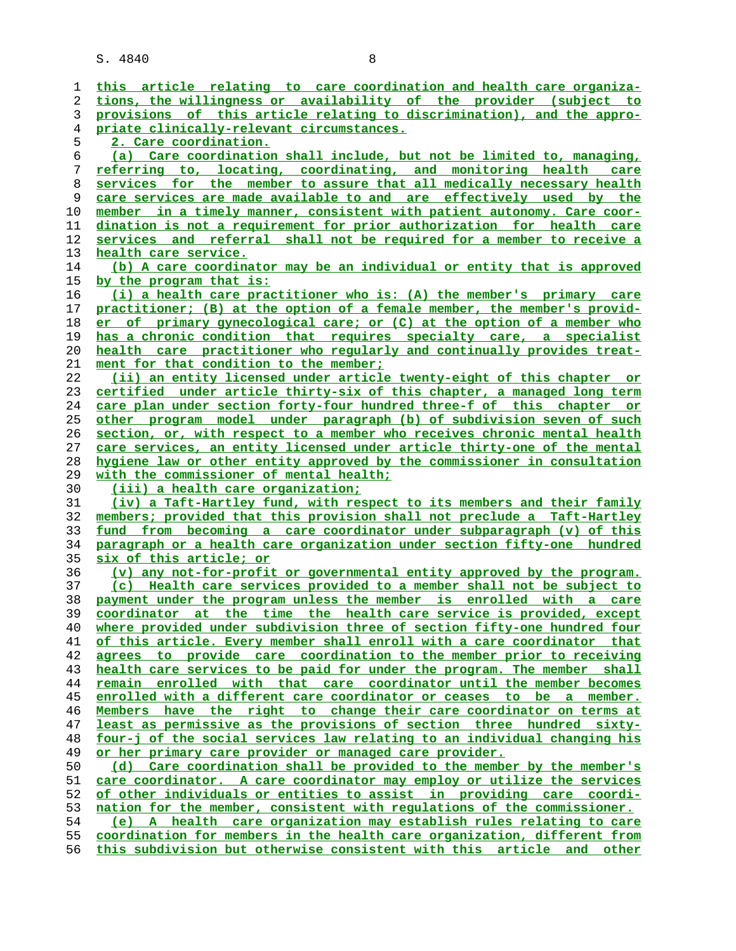**this article relating to care coordination and health care organiza- tions, the willingness or availability of the provider (subject to provisions of this article relating to discrimination), and the appro- priate clinically-relevant circumstances. 2. Care coordination. (a) Care coordination shall include, but not be limited to, managing, referring to, locating, coordinating, and monitoring health care services for the member to assure that all medically necessary health care services are made available to and are effectively used by the member in a timely manner, consistent with patient autonomy. Care coor- dination is not a requirement for prior authorization for health care services and referral shall not be required for a member to receive a health care service. (b) A care coordinator may be an individual or entity that is approved by the program that is: (i) a health care practitioner who is: (A) the member's primary care practitioner; (B) at the option of a female member, the member's provid- er of primary gynecological care; or (C) at the option of a member who has a chronic condition that requires specialty care, a specialist health care practitioner who regularly and continually provides treat- ment for that condition to the member; (ii) an entity licensed under article twenty-eight of this chapter or certified under article thirty-six of this chapter, a managed long term care plan under section forty-four hundred three-f of this chapter or other program model under paragraph (b) of subdivision seven of such section, or, with respect to a member who receives chronic mental health care services, an entity licensed under article thirty-one of the mental hygiene law or other entity approved by the commissioner in consultation with the commissioner of mental health; (iii) a health care organization; (iv) a Taft-Hartley fund, with respect to its members and their family members; provided that this provision shall not preclude a Taft-Hartley fund from becoming a care coordinator under subparagraph (v) of this paragraph or a health care organization under section fifty-one hundred six of this article; or (v) any not-for-profit or governmental entity approved by the program. (c) Health care services provided to a member shall not be subject to payment under the program unless the member is enrolled with a care coordinator at the time the health care service is provided, except where provided under subdivision three of section fifty-one hundred four of this article. Every member shall enroll with a care coordinator that agrees to provide care coordination to the member prior to receiving health care services to be paid for under the program. The member shall remain enrolled with that care coordinator until the member becomes enrolled with a different care coordinator or ceases to be a member. Members have the right to change their care coordinator on terms at least as permissive as the provisions of section three hundred sixty- four-j of the social services law relating to an individual changing his or her primary care provider or managed care provider. (d) Care coordination shall be provided to the member by the member's care coordinator. A care coordinator may employ or utilize the services of other individuals or entities to assist in providing care coordi- nation for the member, consistent with regulations of the commissioner. (e) A health care organization may establish rules relating to care coordination for members in the health care organization, different from this subdivision but otherwise consistent with this article and other**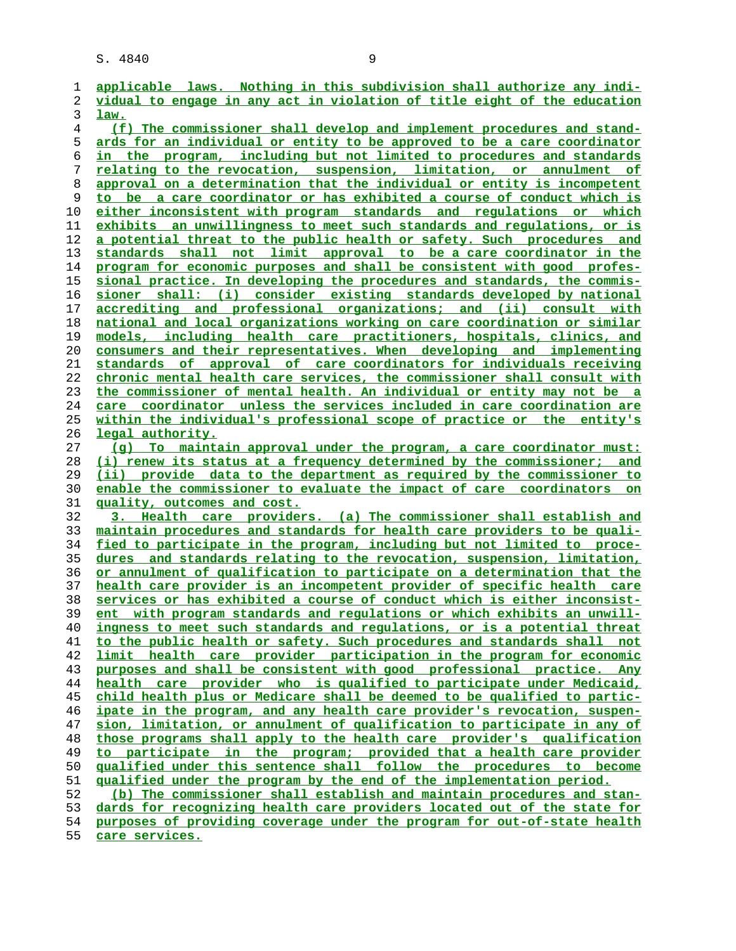**applicable laws. Nothing in this subdivision shall authorize any indi- vidual to engage in any act in violation of title eight of the education law. (f) The commissioner shall develop and implement procedures and stand- ards for an individual or entity to be approved to be a care coordinator in the program, including but not limited to procedures and standards relating to the revocation, suspension, limitation, or annulment of approval on a determination that the individual or entity is incompetent to be a care coordinator or has exhibited a course of conduct which is either inconsistent with program standards and regulations or which exhibits an unwillingness to meet such standards and regulations, or is a potential threat to the public health or safety. Such procedures and standards shall not limit approval to be a care coordinator in the program for economic purposes and shall be consistent with good profes- sional practice. In developing the procedures and standards, the commis- sioner shall: (i) consider existing standards developed by national accrediting and professional organizations; and (ii) consult with national and local organizations working on care coordination or similar models, including health care practitioners, hospitals, clinics, and consumers and their representatives. When developing and implementing standards of approval of care coordinators for individuals receiving chronic mental health care services, the commissioner shall consult with the commissioner of mental health. An individual or entity may not be a care coordinator unless the services included in care coordination are within the individual's professional scope of practice or the entity's legal authority. (g) To maintain approval under the program, a care coordinator must: (i) renew its status at a frequency determined by the commissioner; and (ii) provide data to the department as required by the commissioner to enable the commissioner to evaluate the impact of care coordinators on quality, outcomes and cost. 3. Health care providers. (a) The commissioner shall establish and maintain procedures and standards for health care providers to be quali- fied to participate in the program, including but not limited to proce- dures and standards relating to the revocation, suspension, limitation, or annulment of qualification to participate on a determination that the health care provider is an incompetent provider of specific health care services or has exhibited a course of conduct which is either inconsist- ent with program standards and regulations or which exhibits an unwill- ingness to meet such standards and regulations, or is a potential threat to the public health or safety. Such procedures and standards shall not limit health care provider participation in the program for economic purposes and shall be consistent with good professional practice. Any health care provider who is qualified to participate under Medicaid, child health plus or Medicare shall be deemed to be qualified to partic- ipate in the program, and any health care provider's revocation, suspen- sion, limitation, or annulment of qualification to participate in any of those programs shall apply to the health care provider's qualification to participate in the program; provided that a health care provider qualified under this sentence shall follow the procedures to become qualified under the program by the end of the implementation period. (b) The commissioner shall establish and maintain procedures and stan- dards for recognizing health care providers located out of the state for purposes of providing coverage under the program for out-of-state health**

**care services.**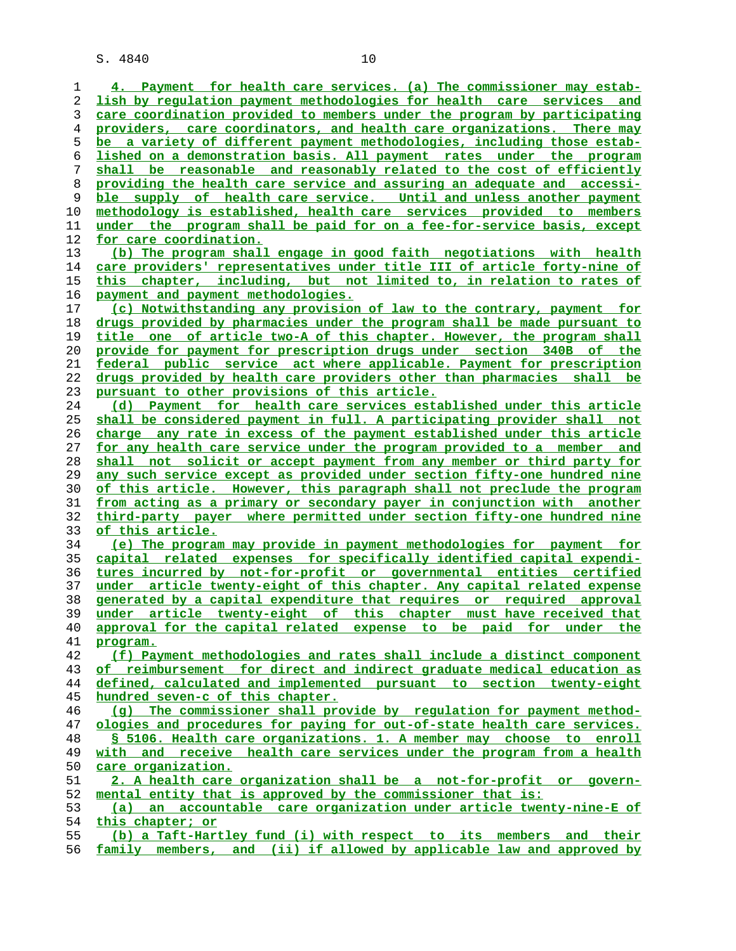**4. Payment for health care services. (a) The commissioner may estab- lish by regulation payment methodologies for health care services and care coordination provided to members under the program by participating providers, care coordinators, and health care organizations. There may be a variety of different payment methodologies, including those estab- lished on a demonstration basis. All payment rates under the program shall be reasonable and reasonably related to the cost of efficiently providing the health care service and assuring an adequate and accessi- ble supply of health care service. Until and unless another payment methodology is established, health care services provided to members under the program shall be paid for on a fee-for-service basis, except for care coordination. (b) The program shall engage in good faith negotiations with health care providers' representatives under title III of article forty-nine of this chapter, including, but not limited to, in relation to rates of payment and payment methodologies. (c) Notwithstanding any provision of law to the contrary, payment for drugs provided by pharmacies under the program shall be made pursuant to title one of article two-A of this chapter. However, the program shall provide for payment for prescription drugs under section 340B of the federal public service act where applicable. Payment for prescription drugs provided by health care providers other than pharmacies shall be pursuant to other provisions of this article. (d) Payment for health care services established under this article shall be considered payment in full. A participating provider shall not charge any rate in excess of the payment established under this article for any health care service under the program provided to a member and shall not solicit or accept payment from any member or third party for any such service except as provided under section fifty-one hundred nine of this article. However, this paragraph shall not preclude the program from acting as a primary or secondary payer in conjunction with another third-party payer where permitted under section fifty-one hundred nine of this article. (e) The program may provide in payment methodologies for payment for capital related expenses for specifically identified capital expendi- tures incurred by not-for-profit or governmental entities certified under article twenty-eight of this chapter. Any capital related expense generated by a capital expenditure that requires or required approval under article twenty-eight of this chapter must have received that approval for the capital related expense to be paid for under the program. (f) Payment methodologies and rates shall include a distinct component of reimbursement for direct and indirect graduate medical education as defined, calculated and implemented pursuant to section twenty-eight hundred seven-c of this chapter. (g) The commissioner shall provide by regulation for payment method- ologies and procedures for paying for out-of-state health care services. § 5106. Health care organizations. 1. A member may choose to enroll with and receive health care services under the program from a health care organization. 2. A health care organization shall be a not-for-profit or govern- mental entity that is approved by the commissioner that is: (a) an accountable care organization under article twenty-nine-E of this chapter; or (b) a Taft-Hartley fund (i) with respect to its members and their family members, and (ii) if allowed by applicable law and approved by**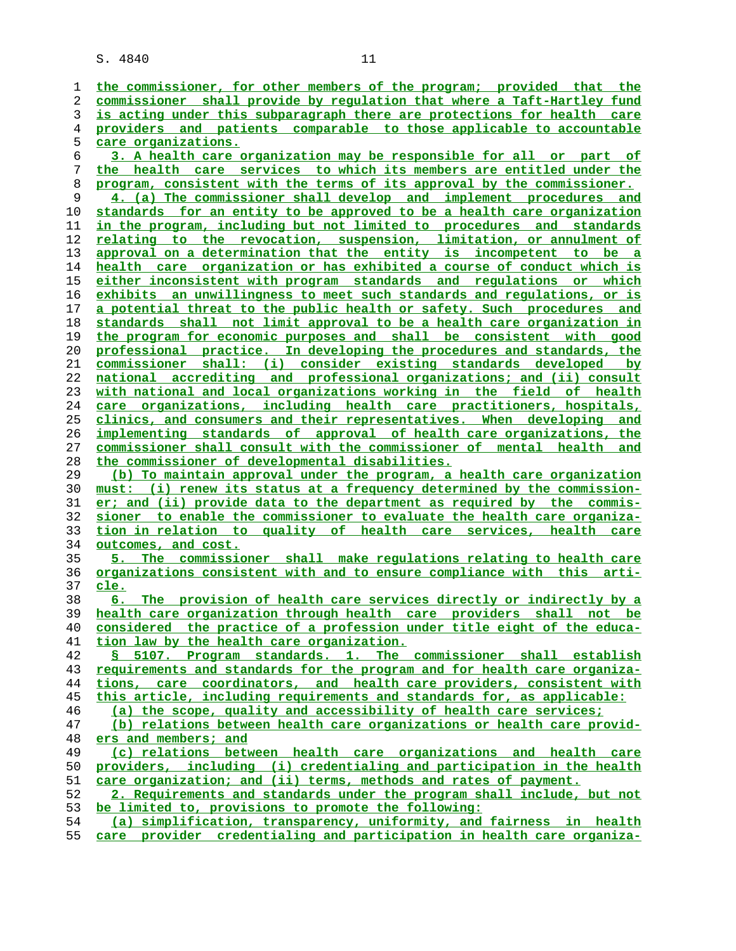| ı  | the commissioner, for other members of the program; provided that the    |
|----|--------------------------------------------------------------------------|
| 2  | commissioner shall provide by requlation that where a Taft-Hartley fund  |
| 3  | is acting under this subparagraph there are protections for health care  |
| 4  | providers and patients comparable to those applicable to accountable     |
| 5  | <u>care organizations.</u>                                               |
| 6  | 3. A health care organization may be responsible for all or part of      |
| 7  | the health care services to which its members are entitled under the     |
| 8  | program, consistent with the terms of its approval by the commissioner.  |
| 9  | 4. (a) The commissioner shall develop and implement procedures and       |
| 10 | standards for an entity to be approved to be a health care organization  |
| 11 | in the program, including but not limited to procedures and standards    |
| 12 | relating to the revocation, suspension, limitation, or annulment of      |
| 13 | approval on a determination that the entity is incompetent to be a       |
| 14 | health care organization or has exhibited a course of conduct which is   |
| 15 | either inconsistent with program standards and regulations or which      |
| 16 | exhibits an unwillingness to meet such standards and requlations, or is  |
| 17 | a potential threat to the public health or safety. Such procedures and   |
| 18 | standards shall not limit approval to be a health care organization in   |
| 19 | the program for economic purposes and shall be consistent with good      |
| 20 | professional practice. In developing the procedures and standards, the   |
| 21 | commissioner shall: (i) consider existing standards developed by         |
| 22 | national accrediting and professional organizations; and (ii) consult    |
| 23 | with national and local organizations working in the field of health     |
| 24 | care organizations, including health care practitioners, hospitals,      |
|    |                                                                          |
| 25 | clinics, and consumers and their representatives. When developing and    |
| 26 | implementing standards of approval of health care organizations, the     |
| 27 | commissioner shall consult with the commissioner of mental health and    |
| 28 | the commissioner of developmental disabilities.                          |
| 29 | (b) To maintain approval under the program, a health care organization   |
| 30 | must: (i) renew its status at a frequency determined by the commission-  |
| 31 | er; and (ii) provide data to the department as required by the commis-   |
| 32 | sioner to enable the commissioner to evaluate the health care organiza-  |
| 33 | tion in relation to quality of health care services, health care         |
| 34 | outcomes, and cost.                                                      |
| 35 | The commissioner shall make regulations relating to health care<br>5. .  |
| 36 | organizations consistent with and to ensure compliance with this arti-   |
| 37 | <u>cle.</u>                                                              |
| 38 | The provision of health care services directly or indirectly by a<br>б.  |
| 39 | health care organization through health care providers shall not be      |
| 40 | considered the practice of a profession under title eight of the educa-  |
| 41 | tion law by the health care organization.                                |
| 42 | § 5107. Program standards. 1. The commissioner shall establish           |
| 43 | requirements and standards for the program and for health care organiza- |
| 44 | tions, care coordinators, and health care providers, consistent with     |
| 45 | this article, including requirements and standards for, as applicable:   |
| 46 | (a) the scope, quality and accessibility of health care services;        |
| 47 | (b) relations between health care organizations or health care provid-   |
| 48 | ers and members; and                                                     |
| 49 | (c) relations between health care organizations and health care          |
| 50 | providers, including (i) credentialing and participation in the health   |
| 51 | care organization; and (ii) terms, methods and rates of payment.         |
| 52 | 2. Requirements and standards under the program shall include, but not   |
| 53 | be limited to, provisions to promote the following:                      |
| 54 | (a) simplification, transparency, uniformity, and fairness in health     |
| 55 | care provider credentialing and participation in health care organiza-   |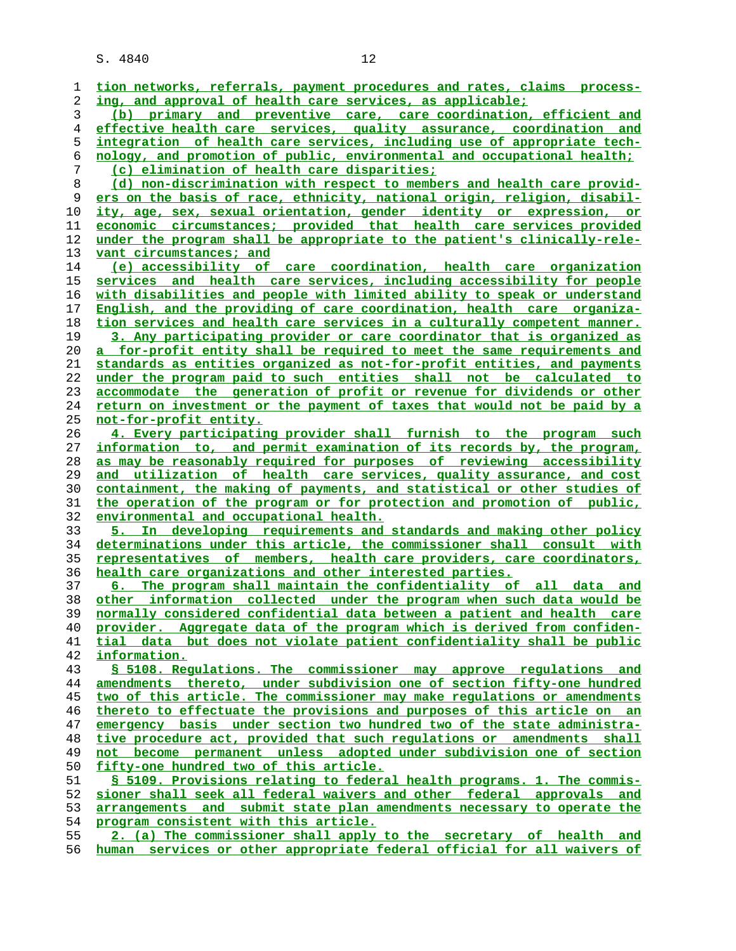| 1  | tion networks, referrals, payment procedures and rates, claims process-         |
|----|---------------------------------------------------------------------------------|
| 2  | ing, and approval of health care services, as applicable;                       |
| 3  | (b) primary and preventive care, care coordination, efficient and               |
| 4  | effective health care services, quality assurance, coordination and             |
| 5  | integration of health care services, including use of appropriate tech-         |
| 6  | nology, and promotion of public, environmental and occupational health;         |
| 7  | (c) elimination of health care disparities;                                     |
| 8  | (d) non-discrimination with respect to members and health care provid-          |
| 9  | ers on the basis of race, ethnicity, national origin, religion, disabil-        |
|    |                                                                                 |
| 10 | ity, age, sex, sexual orientation, gender identity or expression, or            |
| 11 | economic circumstances; provided that health care services provided             |
| 12 | under the program shall be appropriate to the patient's clinically-rele-        |
| 13 | vant circumstances; and                                                         |
| 14 | (e) accessibility of care coordination, health care organization                |
| 15 | services and health care services, including accessibility for people           |
| 16 | with disabilities and people with limited ability to speak or understand        |
| 17 | English, and the providing of care coordination, health care organiza-          |
| 18 | tion services and health care services in a culturally competent manner.        |
| 19 | 3. Any participating provider or care coordinator that is organized as          |
| 20 | a for-profit entity shall be required to meet the same requirements and         |
| 21 | standards as entities organized as not-for-profit entities, and payments        |
| 22 | under the program paid to such entities shall not be calculated to              |
| 23 | accommodate the generation of profit or revenue for dividends or other          |
|    | <u>return on investment or the payment of taxes that would not be paid by a</u> |
| 24 |                                                                                 |
| 25 | not-for-profit entity.                                                          |
| 26 | 4. Every participating provider shall furnish to the program such               |
| 27 | information to, and permit examination of its records by, the program,          |
| 28 | as may be reasonably required for purposes of reviewing accessibility           |
| 29 | and utilization of health care services, quality assurance, and cost            |
| 30 | containment, the making of payments, and statistical or other studies of        |
| 31 | the operation of the program or for protection and promotion of public,         |
| 32 | <u>environmental and occupational health.</u>                                   |
| 33 | 5. In developing requirements and standards and making other policy             |
| 34 | determinations under this article, the commissioner shall consult with          |
| 35 | representatives of members, health care providers, care coordinators,           |
| 36 | health care organizations and other interested parties.                         |
| 37 | 6. The program shall maintain the confidentiality of all data and               |
| 38 | other information collected under the program when such data would be           |
| 39 | normally considered confidential data between a patient and health care         |
| 40 | provider. Aggregate data of the program which is derived from confiden-         |
| 41 | tial data but does not violate patient confidentiality shall be public          |
| 42 | information.                                                                    |
| 43 | § 5108. Regulations. The commissioner may approve regulations and               |
| 44 | amendments thereto, under subdivision one of section fifty-one hundred          |
| 45 | two of this article. The commissioner may make regulations or amendments        |
| 46 | thereto to effectuate the provisions and purposes of this article on an         |
| 47 | emergency basis under section two hundred two of the state administra-          |
| 48 | tive procedure act, provided that such regulations or amendments shall          |
|    |                                                                                 |
| 49 | not become permanent unless adopted under subdivision one of section            |
| 50 | fifty-one hundred two of this article.                                          |
| 51 | § 5109. Provisions relating to federal health programs. 1. The commis-          |
| 52 | sioner shall seek all federal waivers and other federal approvals and           |
| 53 | arrangements and submit state plan amendments necessary to operate the          |
| 54 | program consistent with this article.                                           |
| 55 | 2. (a) The commissioner shall apply to the secretary of health and              |
| 56 | human services or other appropriate federal official for all waivers of         |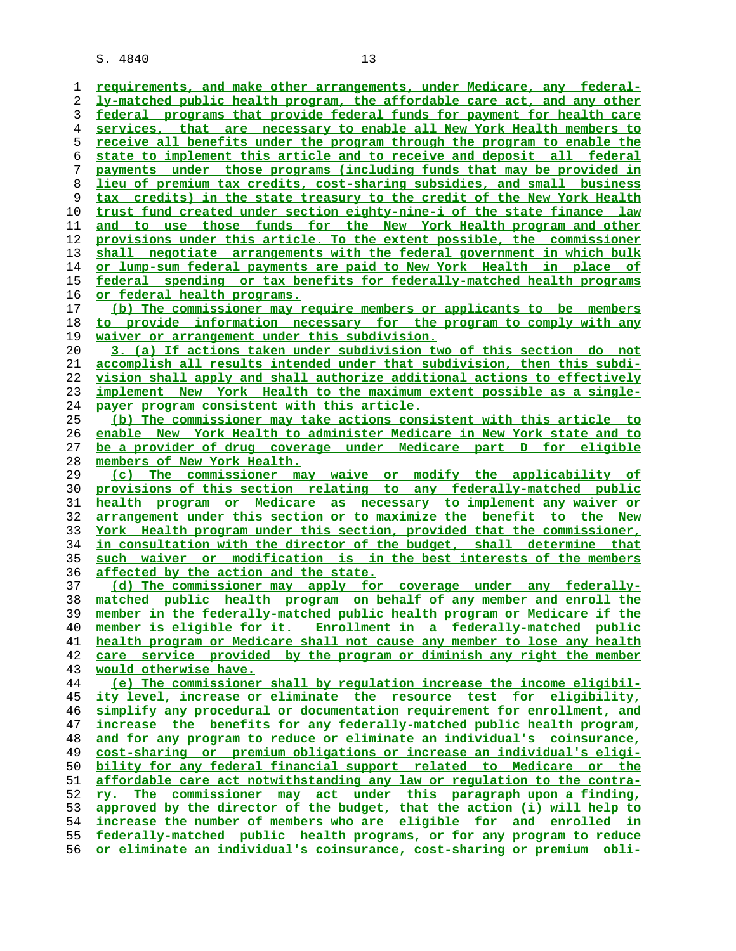**requirements, and make other arrangements, under Medicare, any federal- ly-matched public health program, the affordable care act, and any other federal programs that provide federal funds for payment for health care services, that are necessary to enable all New York Health members to receive all benefits under the program through the program to enable the state to implement this article and to receive and deposit all federal payments under those programs (including funds that may be provided in lieu of premium tax credits, cost-sharing subsidies, and small business tax credits) in the state treasury to the credit of the New York Health trust fund created under section eighty-nine-i of the state finance law and to use those funds for the New York Health program and other provisions under this article. To the extent possible, the commissioner shall negotiate arrangements with the federal government in which bulk or lump-sum federal payments are paid to New York Health in place of federal spending or tax benefits for federally-matched health programs or federal health programs. (b) The commissioner may require members or applicants to be members to provide information necessary for the program to comply with any waiver or arrangement under this subdivision. 3. (a) If actions taken under subdivision two of this section do not accomplish all results intended under that subdivision, then this subdi- vision shall apply and shall authorize additional actions to effectively implement New York Health to the maximum extent possible as a single- payer program consistent with this article. (b) The commissioner may take actions consistent with this article to enable New York Health to administer Medicare in New York state and to be a provider of drug coverage under Medicare part D for eligible members of New York Health. (c) The commissioner may waive or modify the applicability of provisions of this section relating to any federally-matched public health program or Medicare as necessary to implement any waiver or arrangement under this section or to maximize the benefit to the New York Health program under this section, provided that the commissioner, in consultation with the director of the budget, shall determine that such waiver or modification is in the best interests of the members affected by the action and the state. (d) The commissioner may apply for coverage under any federally- matched public health program on behalf of any member and enroll the member in the federally-matched public health program or Medicare if the member is eligible for it. Enrollment in a federally-matched public health program or Medicare shall not cause any member to lose any health care service provided by the program or diminish any right the member would otherwise have. (e) The commissioner shall by regulation increase the income eligibil- ity level, increase or eliminate the resource test for eligibility, simplify any procedural or documentation requirement for enrollment, and increase the benefits for any federally-matched public health program, and for any program to reduce or eliminate an individual's coinsurance, cost-sharing or premium obligations or increase an individual's eligi- bility for any federal financial support related to Medicare or the affordable care act notwithstanding any law or regulation to the contra- ry. The commissioner may act under this paragraph upon a finding, approved by the director of the budget, that the action (i) will help to increase the number of members who are eligible for and enrolled in federally-matched public health programs, or for any program to reduce or eliminate an individual's coinsurance, cost-sharing or premium obli-**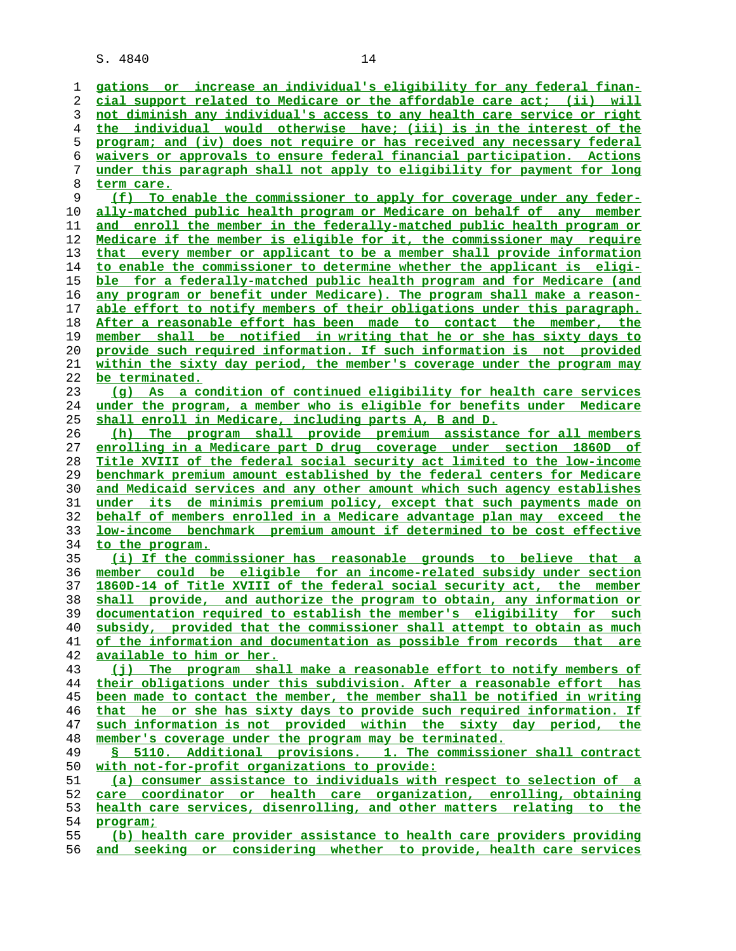**gations or increase an individual's eligibility for any federal finan- cial support related to Medicare or the affordable care act; (ii) will not diminish any individual's access to any health care service or right the individual would otherwise have; (iii) is in the interest of the program; and (iv) does not require or has received any necessary federal waivers or approvals to ensure federal financial participation. Actions under this paragraph shall not apply to eligibility for payment for long term care. (f) To enable the commissioner to apply for coverage under any feder- ally-matched public health program or Medicare on behalf of any member and enroll the member in the federally-matched public health program or Medicare if the member is eligible for it, the commissioner may require that every member or applicant to be a member shall provide information to enable the commissioner to determine whether the applicant is eligi- ble for a federally-matched public health program and for Medicare (and any program or benefit under Medicare). The program shall make a reason- able effort to notify members of their obligations under this paragraph. After a reasonable effort has been made to contact the member, the member shall be notified in writing that he or she has sixty days to provide such required information. If such information is not provided within the sixty day period, the member's coverage under the program may be terminated. (g) As a condition of continued eligibility for health care services under the program, a member who is eligible for benefits under Medicare shall enroll in Medicare, including parts A, B and D. (h) The program shall provide premium assistance for all members enrolling in a Medicare part D drug coverage under section 1860D of Title XVIII of the federal social security act limited to the low-income benchmark premium amount established by the federal centers for Medicare and Medicaid services and any other amount which such agency establishes under its de minimis premium policy, except that such payments made on behalf of members enrolled in a Medicare advantage plan may exceed the low-income benchmark premium amount if determined to be cost effective to the program. (i) If the commissioner has reasonable grounds to believe that a member could be eligible for an income-related subsidy under section 1860D-14 of Title XVIII of the federal social security act, the member shall provide, and authorize the program to obtain, any information or documentation required to establish the member's eligibility for such subsidy, provided that the commissioner shall attempt to obtain as much of the information and documentation as possible from records that are available to him or her. (j) The program shall make a reasonable effort to notify members of their obligations under this subdivision. After a reasonable effort has been made to contact the member, the member shall be notified in writing that he or she has sixty days to provide such required information. If such information is not provided within the sixty day period, the member's coverage under the program may be terminated. § 5110. Additional provisions. 1. The commissioner shall contract with not-for-profit organizations to provide: (a) consumer assistance to individuals with respect to selection of a care coordinator or health care organization, enrolling, obtaining health care services, disenrolling, and other matters relating to the program;**

**(b) health care provider assistance to health care providers providing and seeking or considering whether to provide, health care services**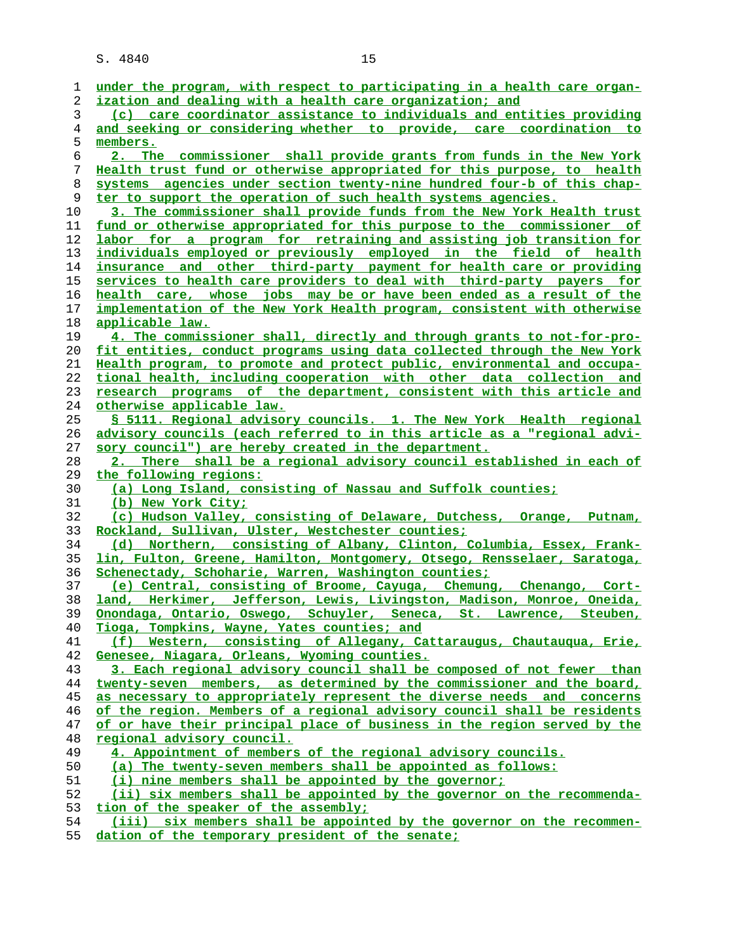| 1        | under the program, with respect to participating in a health care organ-                                                                             |
|----------|------------------------------------------------------------------------------------------------------------------------------------------------------|
| 2        | ization and dealing with a health care organization; and                                                                                             |
| 3        | (c) care coordinator assistance to individuals and entities providing                                                                                |
| 4        | and seeking or considering whether to provide, care coordination to                                                                                  |
| 5        | members.                                                                                                                                             |
| 6        | 2. The commissioner shall provide grants from funds in the New York                                                                                  |
| 7        | Health trust fund or otherwise appropriated for this purpose, to health                                                                              |
| 8        | systems agencies under section twenty-nine hundred four-b of this chap-                                                                              |
| 9        | ter to support the operation of such health systems agencies.                                                                                        |
| 10       | 3. The commissioner shall provide funds from the New York Health trust                                                                               |
| 11<br>12 | <u>fund or otherwise appropriated for this purpose to the commissioner of</u><br>labor for a program for retraining and assisting job transition for |
| 13       | individuals employed or previously employed in the field of health                                                                                   |
| 14       | insurance and other third-party payment for health care or providing                                                                                 |
| 15       | services to health care providers to deal with third-party payers for                                                                                |
| 16       | health care, whose jobs may be or have been ended as a result of the                                                                                 |
| 17       | implementation of the New York Health program, consistent with otherwise                                                                             |
| 18       | applicable law.                                                                                                                                      |
| 19       | 4. The commissioner shall, directly and through grants to not-for-pro-                                                                               |
| 20       | fit entities, conduct programs using data collected through the New York                                                                             |
| 21       | Health program, to promote and protect public, environmental and occupa-                                                                             |
| 22       | tional health, including cooperation with other data collection and                                                                                  |
| 23       | research programs of the department, consistent with this article and                                                                                |
| 24       | otherwise applicable law.                                                                                                                            |
| 25       | § 5111. Regional advisory councils. 1. The New York Health regional                                                                                  |
| 26       | advisory councils (each referred to in this article as a "regional advi-                                                                             |
| 27       | sory council") are hereby created in the department.                                                                                                 |
| 28       | 2. There shall be a regional advisory council established in each of                                                                                 |
| 29       | the following regions:                                                                                                                               |
| 30       | (a) Long Island, consisting of Nassau and Suffolk counties;                                                                                          |
| 31       | (b) New York City;                                                                                                                                   |
| 32       | (c) Hudson Valley, consisting of Delaware, Dutchess, Orange, Putnam,                                                                                 |
| 33       | <u>Rockland, Sullivan, Ulster, Westchester counties;</u>                                                                                             |
| 34       | (d) Northern, consisting of Albany, Clinton, Columbia, Essex, Frank-                                                                                 |
| 35       | lin, Fulton, Greene, Hamilton, Montgomery, Otsego, Rensselaer, Saratoga,                                                                             |
| 36       | Schenectady, Schoharie, Warren, Washington counties;                                                                                                 |
| 37       | (e) Central, consisting of Broome, Cayuga, Chemung, Chenango, Cort-                                                                                  |
| 38       | land, Herkimer, Jefferson, Lewis, Livingston, Madison, Monroe, Oneida,                                                                               |
| 39       | Onondaga, Ontario, Oswego, Schuyler, Seneca, St. Lawrence, Steuben,                                                                                  |
| 40       | Tioga, Tompkins, Wayne, Yates counties; and                                                                                                          |
| 41       | (f) Western, consisting of Allegany, Cattaraugus, Chautaugua, Erie,                                                                                  |
| 42<br>43 | Genesee, Niagara, Orleans, Wyoming counties.<br>3. Each regional advisory council shall be composed of not fewer than                                |
| 44       | twenty-seven members, as determined by the commissioner and the board,                                                                               |
| 45       | as necessary to appropriately represent the diverse needs and concerns                                                                               |
| 46       | of the region. Members of a regional advisory council shall be residents                                                                             |
| 47       | of or have their principal place of business in the region served by the                                                                             |
| 48       | <u>regional</u> advisory council.                                                                                                                    |
| 49       | 4. Appointment of members of the regional advisory councils.                                                                                         |
| 50       | (a) The twenty-seven members shall be appointed as follows:                                                                                          |
| 51       | (i) nine members shall be appointed by the governor;                                                                                                 |
| 52       | (ii) six members shall be appointed by the governor on the recommenda-                                                                               |
| 53       | tion of the speaker of the assembly;                                                                                                                 |
| 54       | (iii) six members shall be appointed by the governor on the recommen-                                                                                |

**dation of the temporary president of the senate;**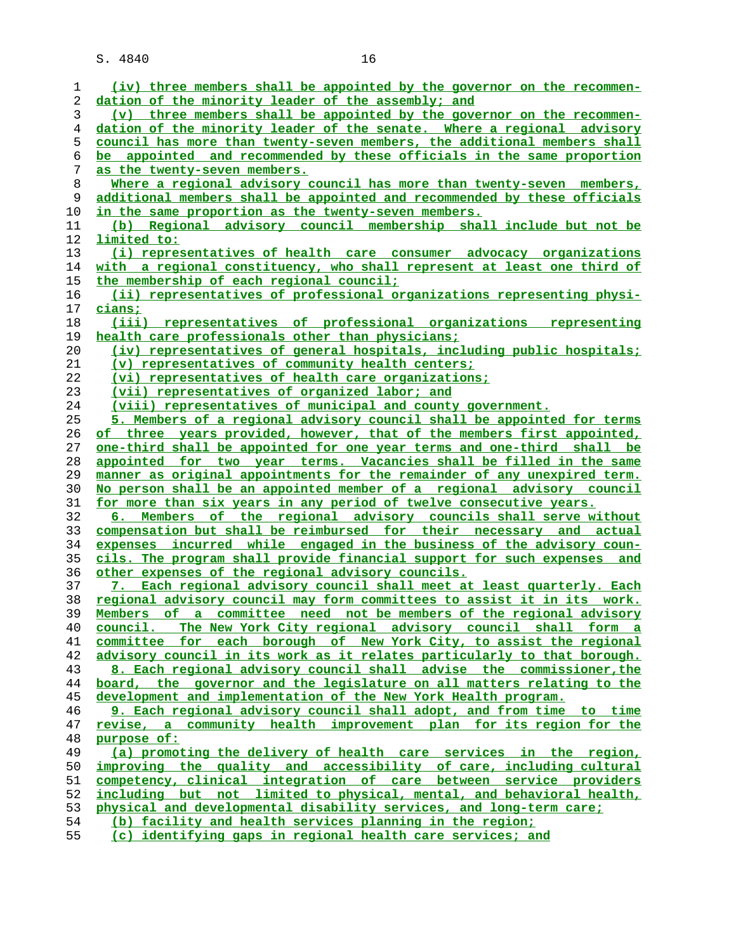| 1  | (iv) three members shall be appointed by the governor on the recommen-        |
|----|-------------------------------------------------------------------------------|
| 2  | dation of the minority leader of the assembly; and                            |
| 3  | (v) three members shall be appointed by the governor on the recommen-         |
| 4  | dation of the minority leader of the senate. Where a regional advisory        |
| 5  | council has more than twenty-seven members, the additional members shall      |
| 6  | be appointed and recommended by these officials in the same proportion        |
| 7  | as the twenty-seven members.                                                  |
| 8  | Where a regional advisory council has more than twenty-seven members,         |
| 9  | additional members shall be appointed and recommended by these officials      |
| 10 | in the same proportion as the twenty-seven members.                           |
| 11 | (b) Regional advisory council membership shall include but not be             |
| 12 | limited to:                                                                   |
| 13 | (i) representatives of health care consumer advocacy organizations            |
| 14 | with a regional constituency, who shall represent at least one third of       |
| 15 | the membership of each regional council;                                      |
| 16 | (ii) representatives of professional organizations representing physi-        |
|    |                                                                               |
| 17 | cians;                                                                        |
| 18 | (iii) representatives of professional organizations representing              |
| 19 | health care professionals other than physicians:                              |
| 20 | (iv) representatives of general hospitals, including public hospitals;        |
| 21 | (v) representatives of community health centers;                              |
| 22 | (vi) representatives of health care organizations;                            |
| 23 | (vii) representatives of organized labor; and                                 |
| 24 | (viii) representatives of municipal and county government.                    |
| 25 | 5. Members of a regional advisory council shall be appointed for terms        |
| 26 | of three years provided, however, that of the members first appointed,        |
| 27 | <u>one-third shall be appointed for one year terms and one-third shall be</u> |
| 28 | appointed for two year terms. Vacancies shall be filled in the same           |
| 29 | manner as original appointments for the remainder of any unexpired term.      |
| 30 | No person shall be an appointed member of a regional advisory council         |
| 31 | for more than six years in any period of twelve consecutive years.            |
| 32 | 6. Members of the regional advisory councils shall serve without              |
| 33 | compensation but shall be reimbursed for their necessary and actual           |
| 34 | expenses incurred while engaged in the business of the advisory coun-         |
| 35 | cils. The program shall provide financial support for such expenses and       |
| 36 | other expenses of the regional advisory councils.                             |
| 37 | 7. Each regional advisory council shall meet at least quarterly. Each         |
| 38 | regional advisory council may form committees to assist it in its work.       |
| 39 | Members of a committee need not be members of the regional advisory           |
| 40 | council. The New York City regional advisory council shall form a             |
| 41 | committee for each borough of New York City, to assist the regional           |
| 42 | advisory council in its work as it relates particularly to that borough.      |
| 43 | 8. Each regional advisory council shall advise the commissioner, the          |
| 44 | board, the governor and the legislature on all matters relating to the        |
| 45 | development and implementation of the New York Health program.                |
| 46 | 9. Each regional advisory council shall adopt, and from time to time          |
| 47 | revise, a community health improvement plan for its region for the            |
| 48 | purpose of:                                                                   |
| 49 | (a) promoting the delivery of health care services in the region,             |
| 50 | improving the quality and accessibility of care, including cultural           |
| 51 | competency, clinical integration of care between service providers            |
| 52 | including but not limited to physical, mental, and behavioral health,         |
| 53 | physical and developmental disability services, and long-term care;           |
| 54 | (b) facility and health services planning in the region;                      |
| cс |                                                                               |

**(c) identifying gaps in regional health care services; and**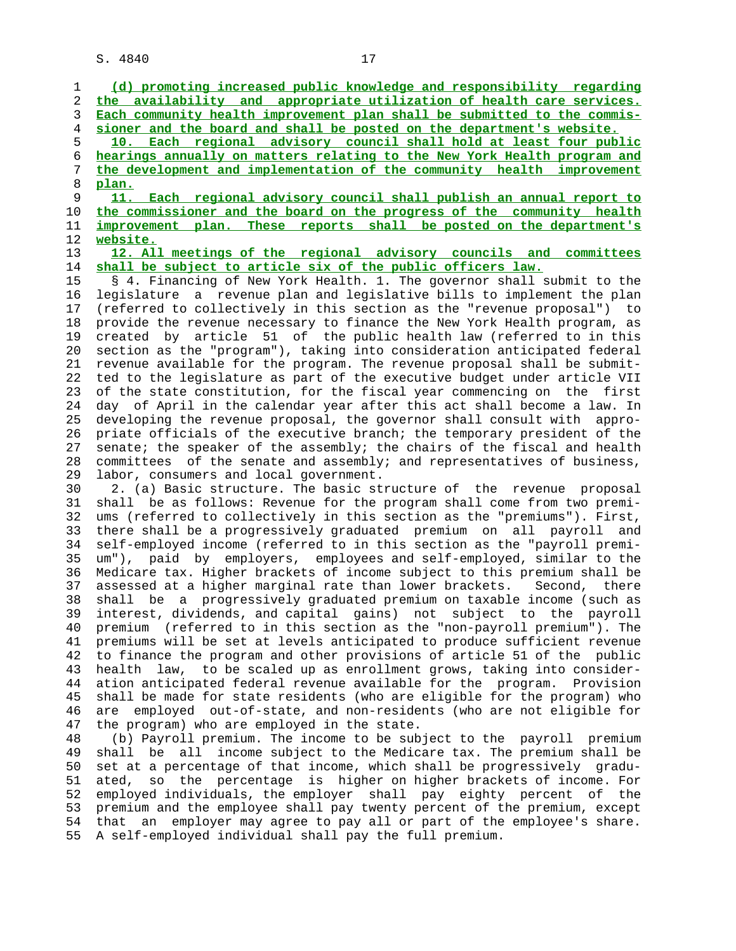1 **(d) promoting increased public knowledge and responsibility regarding** 2 **the availability and appropriate utilization of health care services.** 3 **Each community health improvement plan shall be submitted to the commis-** 4 **sioner and the board and shall be posted on the department's website.** 5 **10. Each regional advisory council shall hold at least four public** 6 **hearings annually on matters relating to the New York Health program and** 7 **the development and implementation of the community health improvement** 8 **plan.** 9 **11. Each regional advisory council shall publish an annual report to** 10 **the commissioner and the board on the progress of the community health** 11 **improvement plan. These reports shall be posted on the department's** 12 **website.** 13 **12. All meetings of the regional advisory councils and committees** 14 **shall be subject to article six of the public officers law.** 15 § 4. Financing of New York Health. 1. The governor shall submit to the 16 legislature a revenue plan and legislative bills to implement the plan 17 (referred to collectively in this section as the "revenue proposal") to 18 provide the revenue necessary to finance the New York Health program, as 19 created by article 51 of the public health law (referred to in this 20 section as the "program"), taking into consideration anticipated federal 21 revenue available for the program. The revenue proposal shall be submit- 22 ted to the legislature as part of the executive budget under article VII 23 of the state constitution, for the fiscal year commencing on the first 24 day of April in the calendar year after this act shall become a law. In 25 developing the revenue proposal, the governor shall consult with appro- 26 priate officials of the executive branch; the temporary president of the 27 senate; the speaker of the assembly; the chairs of the fiscal and health 28 committees of the senate and assembly; and representatives of business, 29 labor, consumers and local government. 30 2. (a) Basic structure. The basic structure of the revenue proposal 31 shall be as follows: Revenue for the program shall come from two premi- 32 ums (referred to collectively in this section as the "premiums"). First, 33 there shall be a progressively graduated premium on all payroll and 34 self-employed income (referred to in this section as the "payroll premi- 35 um"), paid by employers, employees and self-employed, similar to the 36 Medicare tax. Higher brackets of income subject to this premium shall be 37 assessed at a higher marginal rate than lower brackets. Second, there 38 shall be a progressively graduated premium on taxable income (such as 39 interest, dividends, and capital gains) not subject to the payroll 40 premium (referred to in this section as the "non-payroll premium"). The 41 premiums will be set at levels anticipated to produce sufficient revenue 42 to finance the program and other provisions of article 51 of the public 43 health law, to be scaled up as enrollment grows, taking into consider- 44 ation anticipated federal revenue available for the program. Provision 45 shall be made for state residents (who are eligible for the program) who 46 are employed out-of-state, and non-residents (who are not eligible for 47 the program) who are employed in the state. 48 (b) Payroll premium. The income to be subject to the payroll premium 49 shall be all income subject to the Medicare tax. The premium shall be 50 set at a percentage of that income, which shall be progressively gradu- 51 ated, so the percentage is higher on higher brackets of income. For 52 employed individuals, the employer shall pay eighty percent of the 53 premium and the employee shall pay twenty percent of the premium, except

 54 that an employer may agree to pay all or part of the employee's share. 55 A self-employed individual shall pay the full premium.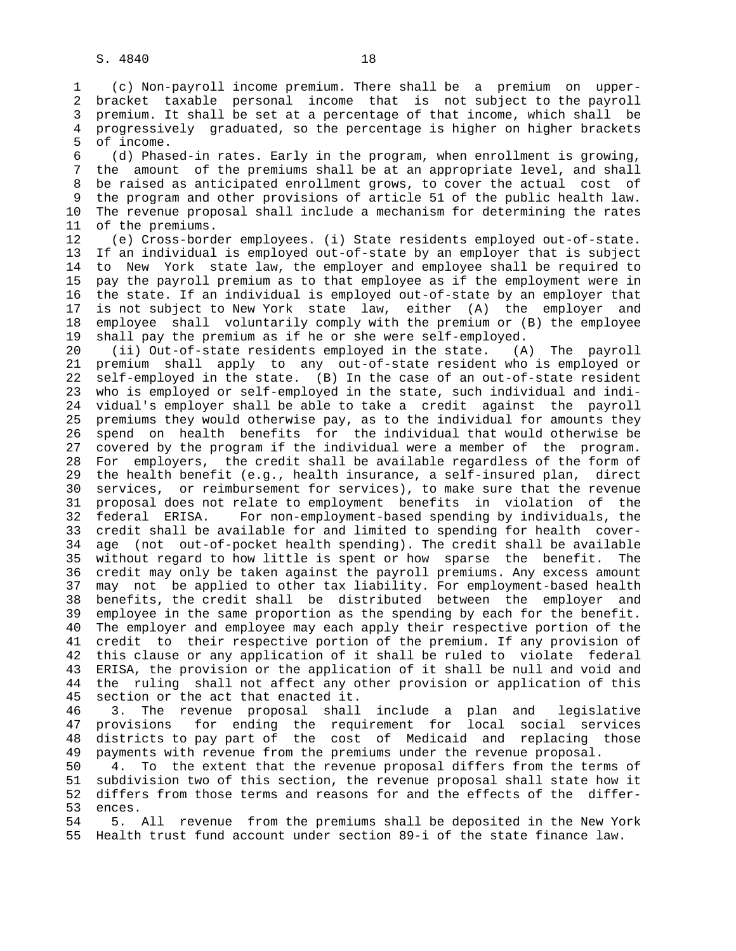1 (c) Non-payroll income premium. There shall be a premium on upper- 2 bracket taxable personal income that is not subject to the payroll 3 premium. It shall be set at a percentage of that income, which shall be 4 progressively graduated, so the percentage is higher on higher brackets 5 of income.

 6 (d) Phased-in rates. Early in the program, when enrollment is growing, 7 the amount of the premiums shall be at an appropriate level, and shall 8 be raised as anticipated enrollment grows, to cover the actual cost of 9 the program and other provisions of article 51 of the public health law. 10 The revenue proposal shall include a mechanism for determining the rates 11 of the premiums.

 12 (e) Cross-border employees. (i) State residents employed out-of-state. 13 If an individual is employed out-of-state by an employer that is subject 14 to New York state law, the employer and employee shall be required to 15 pay the payroll premium as to that employee as if the employment were in 16 the state. If an individual is employed out-of-state by an employer that 17 is not subject to New York state law, either (A) the employer and 18 employee shall voluntarily comply with the premium or (B) the employee 19 shall pay the premium as if he or she were self-employed.

 20 (ii) Out-of-state residents employed in the state. (A) The payroll 21 premium shall apply to any out-of-state resident who is employed or 22 self-employed in the state. (B) In the case of an out-of-state resident 23 who is employed or self-employed in the state, such individual and indi- 24 vidual's employer shall be able to take a credit against the payroll 25 premiums they would otherwise pay, as to the individual for amounts they 26 spend on health benefits for the individual that would otherwise be 27 covered by the program if the individual were a member of the program. 28 For employers, the credit shall be available regardless of the form of 29 the health benefit (e.g., health insurance, a self-insured plan, direct 30 services, or reimbursement for services), to make sure that the revenue 31 proposal does not relate to employment benefits in violation of the 32 federal ERISA. For non-employment-based spending by individuals, the 33 credit shall be available for and limited to spending for health cover- 34 age (not out-of-pocket health spending). The credit shall be available 35 without regard to how little is spent or how sparse the benefit. The 36 credit may only be taken against the payroll premiums. Any excess amount 37 may not be applied to other tax liability. For employment-based health 38 benefits, the credit shall be distributed between the employer and 39 employee in the same proportion as the spending by each for the benefit. 40 The employer and employee may each apply their respective portion of the 41 credit to their respective portion of the premium. If any provision of 42 this clause or any application of it shall be ruled to violate federal 43 ERISA, the provision or the application of it shall be null and void and 44 the ruling shall not affect any other provision or application of this 45 section or the act that enacted it.

 46 3. The revenue proposal shall include a plan and legislative 47 provisions for ending the requirement for local social services 48 districts to pay part of the cost of Medicaid and replacing those 49 payments with revenue from the premiums under the revenue proposal.

 50 4. To the extent that the revenue proposal differs from the terms of 51 subdivision two of this section, the revenue proposal shall state how it 52 differs from those terms and reasons for and the effects of the differ- 53 ences.

 54 5. All revenue from the premiums shall be deposited in the New York 55 Health trust fund account under section 89-i of the state finance law.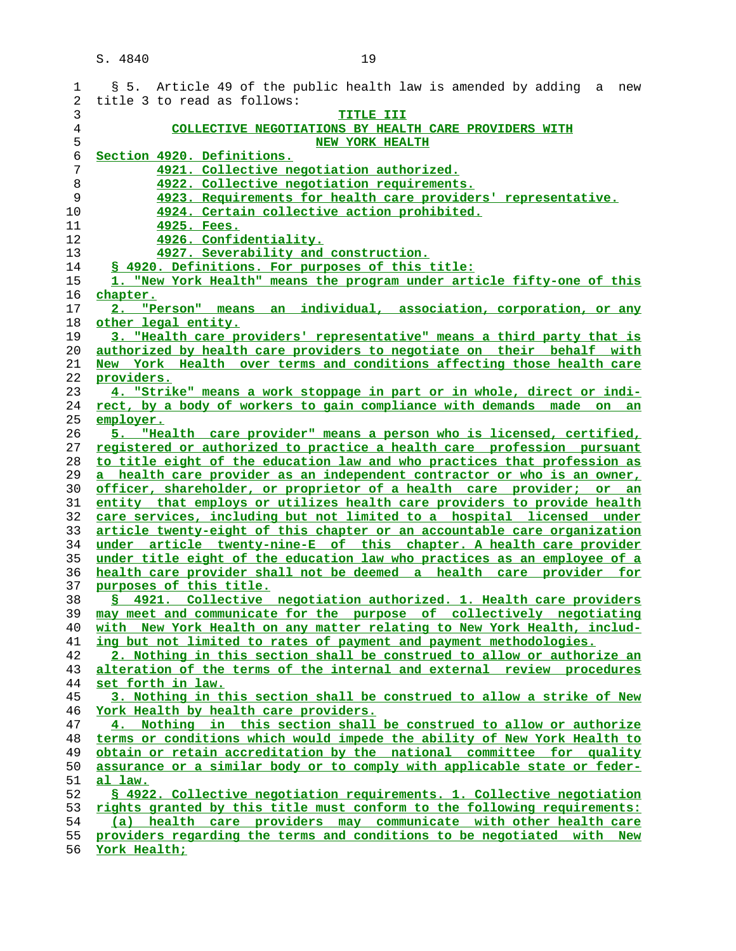| 1              | § 5. Article 49 of the public health law is amended by adding a new                                                                              |
|----------------|--------------------------------------------------------------------------------------------------------------------------------------------------|
| 2              | title 3 to read as follows:                                                                                                                      |
| 3              | TITLE III                                                                                                                                        |
| $\overline{4}$ | COLLECTIVE NEGOTIATIONS BY HEALTH CARE PROVIDERS WITH                                                                                            |
| 5              | <b>NEW YORK HEALTH</b>                                                                                                                           |
| 6              | Section 4920. Definitions.                                                                                                                       |
| 7              | 4921. Collective negotiation authorized.                                                                                                         |
| 8              | 4922. Collective negotiation requirements.                                                                                                       |
| 9              | 4923. Requirements for health care providers' representative.                                                                                    |
| 10             | 4924. Certain collective action prohibited.                                                                                                      |
| 11             | 4925. Fees.                                                                                                                                      |
| 12             | 4926. Confidentiality.                                                                                                                           |
| 13             | 4927. Severability and construction.                                                                                                             |
| 14             | § 4920. Definitions. For purposes of this title:                                                                                                 |
| 15             | 1. "New York Health" means the program under article fifty-one of this                                                                           |
| 16             | <u>chapter.</u>                                                                                                                                  |
| 17             | 2. "Person" means an individual, association, corporation, or any                                                                                |
| 18             | other legal entity.                                                                                                                              |
| 19             | 3. "Health care providers' representative" means a third party that is                                                                           |
| 20             | authorized by health care providers to negotiate on their behalf with                                                                            |
| 21             | New York Health over terms and conditions affecting those health care                                                                            |
| 22             | providers.                                                                                                                                       |
| 23             | 4. "Strike" means a work stoppage in part or in whole, direct or indi-                                                                           |
| 24             | rect, by a body of workers to gain compliance with demands made on an                                                                            |
| 25             | employer.                                                                                                                                        |
| 26             | "Health care provider" means a person who is licensed, certified,<br>5.                                                                          |
| 27             | registered or authorized to practice a health care profession pursuant                                                                           |
| 28             | to title eight of the education law and who practices that profession as                                                                         |
| 29             | a health care provider as an independent contractor or who is an owner,                                                                          |
| 30             | officer, shareholder, or proprietor of a health care provider; or an                                                                             |
| 31             | entity that employs or utilizes health care providers to provide health                                                                          |
| 32             | care services, including but not limited to a hospital licensed under                                                                            |
| 33             | article twenty-eight of this chapter or an accountable care organization                                                                         |
| 34             | under article twenty-nine-E of this chapter. A health care provider                                                                              |
| 35             | under title eight of the education law who practices as an employee of a                                                                         |
| 36             | health care provider shall not be deemed a health care provider for                                                                              |
| 37             | purposes of this title.                                                                                                                          |
| 38             | § 4921. Collective negotiation authorized. 1. Health care providers                                                                              |
| 39             | may meet and communicate for the purpose of collectively negotiating                                                                             |
| 40             | with New York Health on any matter relating to New York Health, includ-                                                                          |
| 41             | ing but not limited to rates of payment and payment methodologies.                                                                               |
| 42<br>43       | 2. Nothing in this section shall be construed to allow or authorize an<br>alteration of the terms of the internal and external review procedures |
| 44             |                                                                                                                                                  |
|                | set forth in law.                                                                                                                                |
| 45<br>46       | 3. Nothing in this section shall be construed to allow a strike of New<br>York Health by health care providers.                                  |
| 47             | 4. Nothing in this section shall be construed to allow or authorize                                                                              |
| 48             | terms or conditions which would impede the ability of New York Health to                                                                         |
| 49             | obtain or retain accreditation by the national committee for quality                                                                             |
| 50             | assurance or a similar body or to comply with applicable state or feder-                                                                         |
| 51             | <u>al law.</u>                                                                                                                                   |
| 52             | § 4922. Collective negotiation requirements. 1. Collective negotiation                                                                           |
| 53             | rights granted by this title must conform to the following requirements:                                                                         |
| 54             | (a) health care providers may communicate with other health care                                                                                 |
| 55             | providers regarding the terms and conditions to be negotiated with New                                                                           |
| 56             | York Health;                                                                                                                                     |
|                |                                                                                                                                                  |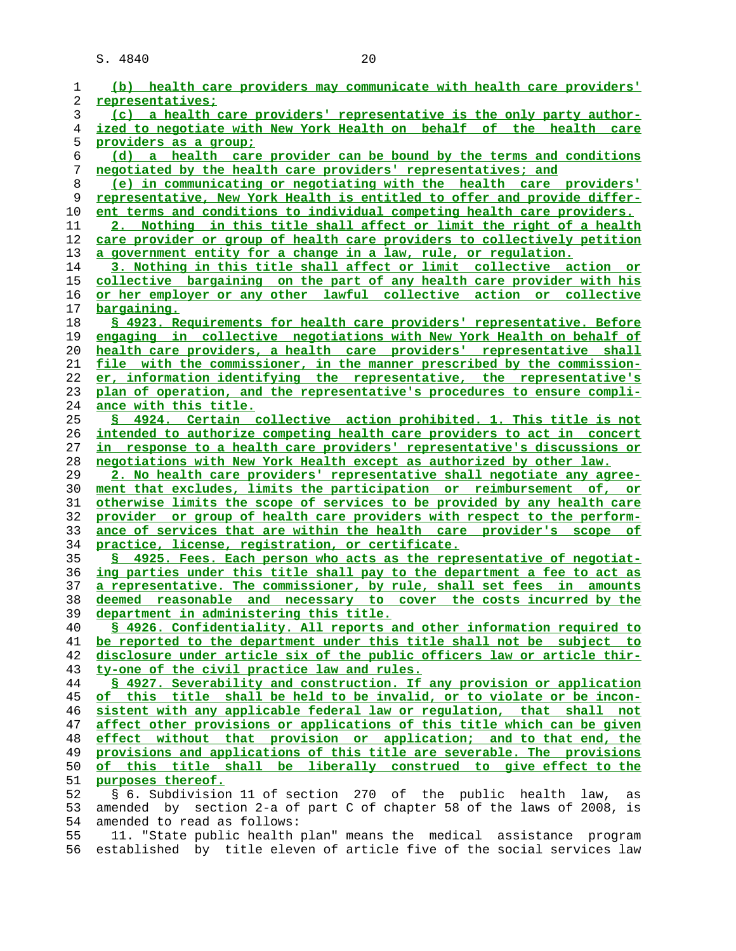| 1        | (b) health care providers may communicate with health care providers'                                                                           |
|----------|-------------------------------------------------------------------------------------------------------------------------------------------------|
| 2        | representatives;                                                                                                                                |
| 3        | (c) a health care providers' representative is the only party author-                                                                           |
| 4        | <u>ized to negotiate with New York Health on behalf of the health care</u>                                                                      |
| 5        | providers as a group;                                                                                                                           |
| 6        | (d) a health care provider can be bound by the terms and conditions                                                                             |
| 7        | negotiated by the health care providers' representatives; and                                                                                   |
| 8        | (e) in communicating or negotiating with the health care providers'                                                                             |
| 9        | representative, New York Health is entitled to offer and provide differ-                                                                        |
| 10       | ent terms and conditions to individual competing health care providers.                                                                         |
| 11       | 2. Nothing in this title shall affect or limit the right of a health                                                                            |
| 12       | care provider or group of health care providers to collectively petition                                                                        |
| 13       | a government entity for a change in a law, rule, or regulation.                                                                                 |
| 14       | 3. Nothing in this title shall affect or limit collective action or                                                                             |
| 15       | collective bargaining on the part of any health care provider with his                                                                          |
| 16       | or her employer or any other lawful collective action or collective                                                                             |
| 17       | <u>bargaining.</u>                                                                                                                              |
| 18       | \$ 4923. Requirements for health care providers' representative. Before                                                                         |
| 19       | engaging in collective negotiations with New York Health on behalf of                                                                           |
| 20       | health care providers, a health care providers' representative shall                                                                            |
| 21       | file with the commissioner, in the manner prescribed by the commission-                                                                         |
| 22       | er, information identifying the representative, the representative's                                                                            |
| 23       | plan of operation, and the representative's procedures to ensure compli-                                                                        |
| 24       | ance with this title.                                                                                                                           |
| 25       | § 4924. Certain collective action prohibited. 1. This title is not                                                                              |
| 26       | intended to authorize competing health care providers to act in concert                                                                         |
| 27       | in response to a health care providers' representative's discussions or                                                                         |
| 28       | negotiations with New York Health except as authorized by other law.                                                                            |
| 29       | 2. No health care providers' representative shall negotiate any agree-                                                                          |
| 30       | ment that excludes, limits the participation or reimbursement of, or                                                                            |
| 31       | otherwise limits the scope of services to be provided by any health care                                                                        |
| 32<br>33 | provider or group of health care providers with respect to the perform-<br>ance of services that are within the health care provider's scope of |
| 34       | practice, license, registration, or certificate.                                                                                                |
| 35       | \$ 4925. Fees. Each person who acts as the representative of negotiat-                                                                          |
| 36       | ing parties under this title shall pay to the department a fee to act as                                                                        |
| 37       | a representative. The commissioner, by rule, shall set fees in amounts                                                                          |
| 38       | deemed reasonable and necessary to cover the costs incurred by the                                                                              |
| 39       | department in administering this title.                                                                                                         |
| 40       | \$ 4926. Confidentiality. All reports and other information required to                                                                         |
| 41       | be reported to the department under this title shall not be subject to                                                                          |
| 42       | disclosure under article six of the public officers law or article thir-                                                                        |
| 43       | ty-one of the civil practice law and rules.                                                                                                     |
| 44       | § 4927. Severability and construction. If any provision or application                                                                          |
| 45       | of this title shall be held to be invalid, or to violate or be incon-                                                                           |
| 46       | sistent with any applicable federal law or requlation, that shall not                                                                           |
| 47       | affect other provisions or applications of this title which can be given                                                                        |
| 48       | effect without that provision or application; and to that end, the                                                                              |
| 49       | provisions and applications of this title are severable. The provisions                                                                         |
| 50       | of this title shall be liberally construed to give effect to the                                                                                |
| 51       | purposes thereof.                                                                                                                               |
| 52       | § 6. Subdivision 11 of section 270 of the public health law, as                                                                                 |
| 53       | amended by section 2-a of part C of chapter 58 of the laws of 2008, is                                                                          |
| 54       | amended to read as follows:                                                                                                                     |
| 55       | 11. "State public health plan" means the medical assistance program                                                                             |
| 56       | established by title eleven of article five of the social services law                                                                          |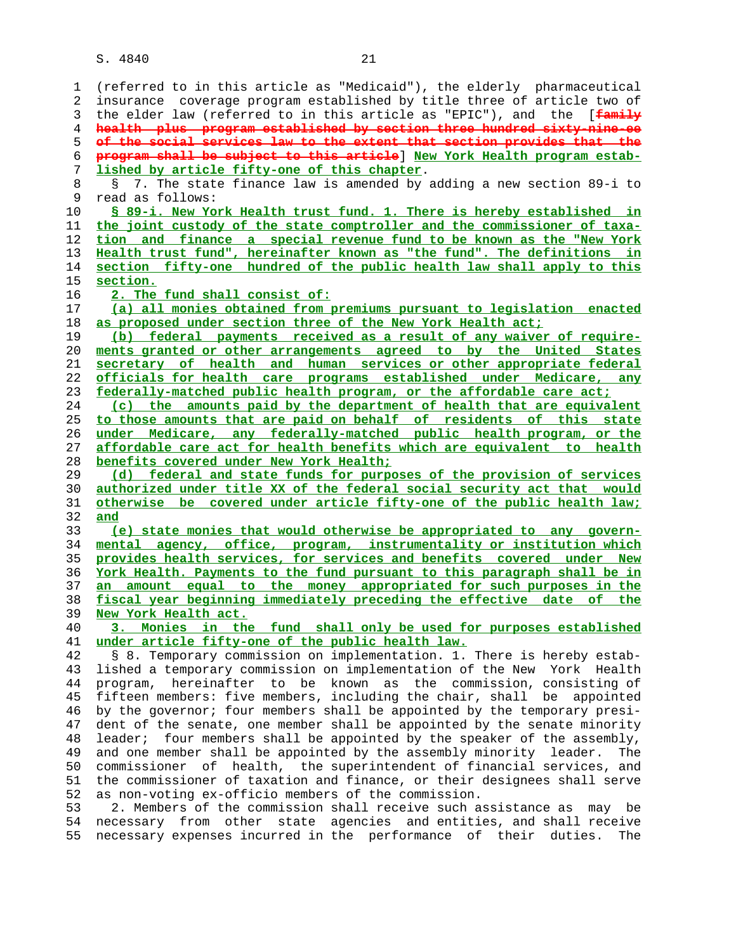1 (referred to in this article as "Medicaid"), the elderly pharmaceutical 2 insurance coverage program established by title three of article two of 3 the elder law (referred to in this article as "EPIC"), and the [**family health plus program established by section three hundred sixty-nine-ee of the social services law to the extent that section provides that the program shall be subject to this article**] **New York Health program estab- lished by article fifty-one of this chapter**. 8 § 7. The state finance law is amended by adding a new section 89-i to<br>9 read as follows: read as follows: **§ 89-i. New York Health trust fund. 1. There is hereby established in the joint custody of the state comptroller and the commissioner of taxa- tion and finance a special revenue fund to be known as the "New York Health trust fund", hereinafter known as "the fund". The definitions in section fifty-one hundred of the public health law shall apply to this section. 2. The fund shall consist of: (a) all monies obtained from premiums pursuant to legislation enacted as proposed under section three of the New York Health act; (b) federal payments received as a result of any waiver of require- ments granted or other arrangements agreed to by the United States secretary of health and human services or other appropriate federal officials for health care programs established under Medicare, any federally-matched public health program, or the affordable care act; (c) the amounts paid by the department of health that are equivalent to those amounts that are paid on behalf of residents of this state under Medicare, any federally-matched public health program, or the affordable care act for health benefits which are equivalent to health benefits covered under New York Health; (d) federal and state funds for purposes of the provision of services authorized under title XX of the federal social security act that would otherwise be covered under article fifty-one of the public health law; and (e) state monies that would otherwise be appropriated to any govern- mental agency, office, program, instrumentality or institution which provides health services, for services and benefits covered under New York Health. Payments to the fund pursuant to this paragraph shall be in an amount equal to the money appropriated for such purposes in the fiscal year beginning immediately preceding the effective date of the New York Health act. 3. Monies in the fund shall only be used for purposes established under article fifty-one of the public health law.** 42 § 8. Temporary commission on implementation. 1. There is hereby estab- 43 lished a temporary commission on implementation of the New York Health 44 program, hereinafter to be known as the commission, consisting of 45 fifteen members: five members, including the chair, shall be appointed 46 by the governor; four members shall be appointed by the temporary presi- 47 dent of the senate, one member shall be appointed by the senate minority 48 leader; four members shall be appointed by the speaker of the assembly, 49 and one member shall be appointed by the assembly minority leader. The 50 commissioner of health, the superintendent of financial services, and 51 the commissioner of taxation and finance, or their designees shall serve 52 as non-voting ex-officio members of the commission. 53 2. Members of the commission shall receive such assistance as may be 54 necessary from other state agencies and entities, and shall receive 55 necessary expenses incurred in the performance of their duties. The